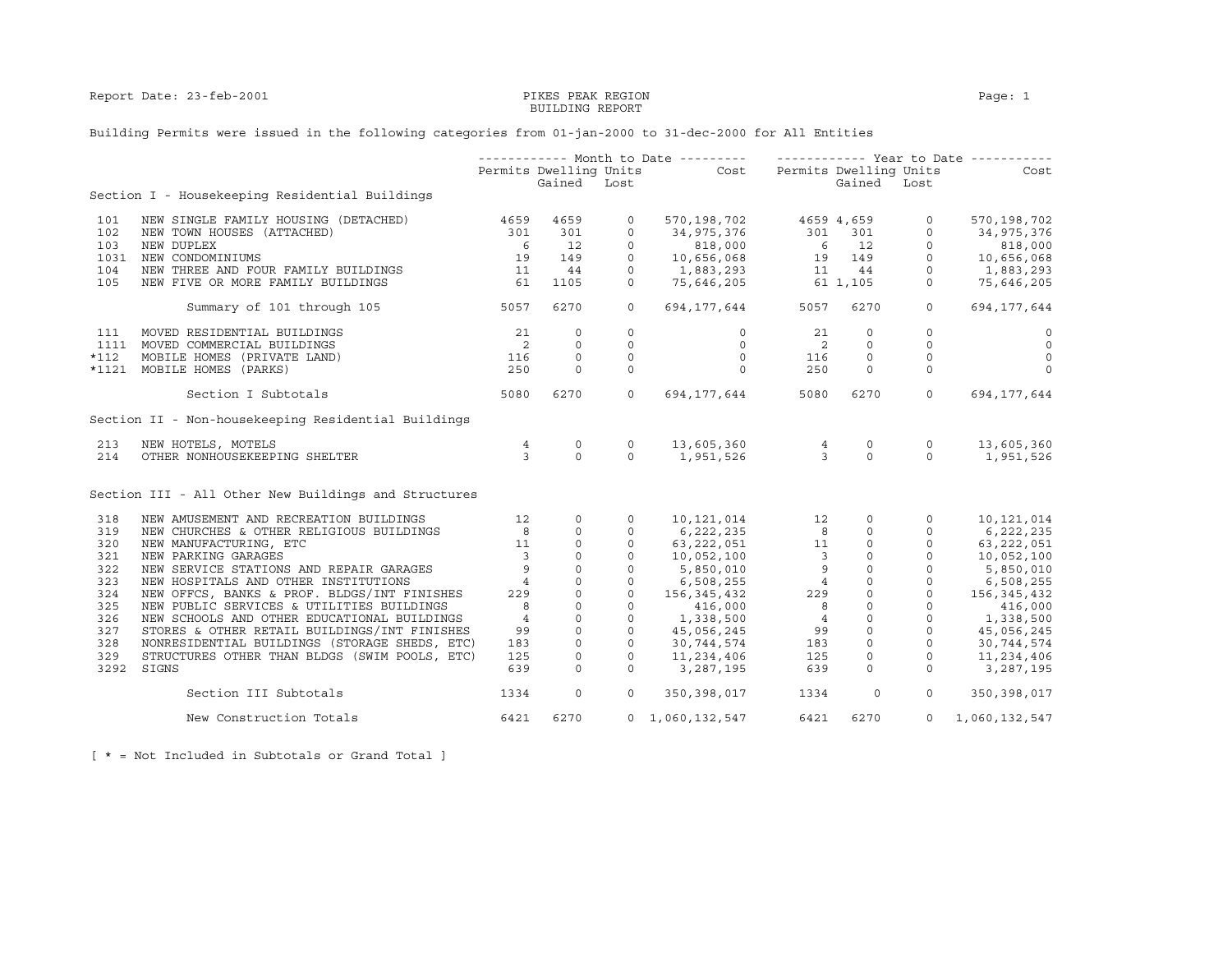## BUILDING REPORT

### Building Permits were issued in the following categories from 01-jan-2000 to 31-dec-2000 for All Entities

|        |                                                      |                            |                     |               | ----------- Month to Date ---------    ------------    Year to Date ----------                                                                                                                                      |                                                 |                     |                                                                                                                                                                                                                                                                                                                                       |                         |
|--------|------------------------------------------------------|----------------------------|---------------------|---------------|---------------------------------------------------------------------------------------------------------------------------------------------------------------------------------------------------------------------|-------------------------------------------------|---------------------|---------------------------------------------------------------------------------------------------------------------------------------------------------------------------------------------------------------------------------------------------------------------------------------------------------------------------------------|-------------------------|
|        |                                                      | Permits Dwelling Units     |                     |               | Cost Permits Dwelling Units                                                                                                                                                                                         |                                                 |                     |                                                                                                                                                                                                                                                                                                                                       | Cost                    |
|        |                                                      |                            | Gained Lost         |               |                                                                                                                                                                                                                     |                                                 | Gained Lost         |                                                                                                                                                                                                                                                                                                                                       |                         |
|        | Section I - Housekeeping Residential Buildings       |                            |                     |               |                                                                                                                                                                                                                     |                                                 |                     |                                                                                                                                                                                                                                                                                                                                       |                         |
| 101    | NEW SINGLE FAMILY HOUSING (DETACHED)                 | 4659                       | 4659                | $\circ$       | 570,198,702 4659 4,659                                                                                                                                                                                              |                                                 |                     | $\circ$                                                                                                                                                                                                                                                                                                                               | 570,198,702             |
| 102    | NEW TOWN HOUSES (ATTACHED)                           | 301                        | 301                 | $\circ$       | 34,975,376                                                                                                                                                                                                          |                                                 |                     |                                                                                                                                                                                                                                                                                                                                       | 34,975,376              |
| 103    | NEW DUPLEX                                           | 6                          | 12                  | $\circ$       |                                                                                                                                                                                                                     |                                                 |                     |                                                                                                                                                                                                                                                                                                                                       | 818,000                 |
| 1031   | NEW CONDOMINIUMS                                     | 19                         | 149                 | $\Omega$      | $\begin{array}{cccc} 34\, , & 975\, , & 376 \\ & 818\, , & 000 \\ 10\, , & 656\, , & 068 \\ \end{array} \qquad \qquad \begin{array}{cccc} 301 & & 301 & & 0 \\ & 6 & & 12 & & 0 \\ 19 & & 149 & & 0 \\ \end{array}$ |                                                 |                     |                                                                                                                                                                                                                                                                                                                                       | 10,656,068              |
| 104    | NEW THREE AND FOUR FAMILY BUILDINGS                  | 11                         | 44                  | $\circ$       | 1,883,293                                                                                                                                                                                                           |                                                 |                     |                                                                                                                                                                                                                                                                                                                                       | 1,883,293               |
| 105    | NEW FIVE OR MORE FAMILY BUILDINGS                    | 61                         | 1105                | $\circ$       | $1,883,293$ $11$ $44$ 0<br>75,646,205 61 1,105 0                                                                                                                                                                    |                                                 |                     |                                                                                                                                                                                                                                                                                                                                       | 75,646,205              |
|        | Summary of 101 through 105                           | 5057                       | 6270                | $\circ$       | 694, 177, 644 5057                                                                                                                                                                                                  |                                                 | 6270                | $\circ$                                                                                                                                                                                                                                                                                                                               | 694, 177, 644           |
| 111    | MOVED RESIDENTIAL BUILDINGS                          | 21                         | $\circ$             | $\circ$       | $\circ$                                                                                                                                                                                                             | 21                                              | $\circ$             | $\Omega$                                                                                                                                                                                                                                                                                                                              | $\circ$                 |
|        | 1111 MOVED COMMERCIAL BUILDINGS                      | $\overline{\phantom{0}}$ 2 | $\circ$             | 0             | $\circ$                                                                                                                                                                                                             | $\overline{\phantom{0}}$                        | $\Omega$            | $\circ$                                                                                                                                                                                                                                                                                                                               | $\overline{0}$          |
|        |                                                      |                            |                     |               |                                                                                                                                                                                                                     |                                                 |                     |                                                                                                                                                                                                                                                                                                                                       |                         |
| $*112$ | MOBILE HOMES (PRIVATE LAND)                          | 116<br>250                 | $\circ$<br>$\Omega$ | 0<br>$\Omega$ | $\circ$<br>$\Omega$                                                                                                                                                                                                 | 116                                             | $\circ$<br>$\Omega$ | $\circ$                                                                                                                                                                                                                                                                                                                               | $\mathbf 0$<br>$\Omega$ |
|        | *1121 MOBILE HOMES (PARKS)                           |                            |                     |               |                                                                                                                                                                                                                     | 250                                             |                     | $\mathbf 0$                                                                                                                                                                                                                                                                                                                           |                         |
|        | Section I Subtotals                                  | 5080                       | 6270                | $\circ$       | 694,177,644                                                                                                                                                                                                         | 5080                                            | 6270                | $\overline{0}$                                                                                                                                                                                                                                                                                                                        | 694,177,644             |
|        | Section II - Non-housekeeping Residential Buildings  |                            |                     |               |                                                                                                                                                                                                                     |                                                 |                     |                                                                                                                                                                                                                                                                                                                                       |                         |
| 213    | NEW HOTELS, MOTELS                                   | 4                          | $\circ$             | $\circ$       |                                                                                                                                                                                                                     |                                                 | $\circ$             | $\circ$                                                                                                                                                                                                                                                                                                                               | 13,605,360              |
| 214    | OTHER NONHOUSEKEEPING SHELTER                        | 3 <sup>7</sup>             | $\Omega$            | $\Omega$      | 13,605,360 4<br>1,951,526 3                                                                                                                                                                                         |                                                 | $\Omega$            | $\Omega$                                                                                                                                                                                                                                                                                                                              | 1,951,526               |
|        | Section III - All Other New Buildings and Structures |                            |                     |               |                                                                                                                                                                                                                     |                                                 |                     |                                                                                                                                                                                                                                                                                                                                       |                         |
| 318    | NEW AMUSEMENT AND RECREATION BUILDINGS               | 12                         | $\circ$             | $\circ$       | 10,121,014                                                                                                                                                                                                          |                                                 | 12<br>$\circ$       | $\circ$                                                                                                                                                                                                                                                                                                                               | 10,121,014              |
| 319    | NEW CHURCHES & OTHER RELIGIOUS BUILDINGS             | 8                          | $\circ$             | $\circ$       | 6,222,235                                                                                                                                                                                                           | $8 -$                                           | $\circ$             | $\circ$                                                                                                                                                                                                                                                                                                                               | 6,222,235               |
| 320    | NEW MANUFACTURING, ETC                               | 11                         | $\mathbb O$         | $\mathsf{O}$  | 63,222,051                                                                                                                                                                                                          | 11                                              |                     | $\begin{bmatrix} 0 & 0 & 0 \\ 0 & 0 & 0 \\ 0 & 0 & 0 \\ 0 & 0 & 0 \\ 0 & 0 & 0 \\ 0 & 0 & 0 \\ 0 & 0 & 0 \\ 0 & 0 & 0 \\ 0 & 0 & 0 \\ 0 & 0 & 0 \\ 0 & 0 & 0 \\ 0 & 0 & 0 \\ 0 & 0 & 0 \\ 0 & 0 & 0 \\ 0 & 0 & 0 \\ 0 & 0 & 0 \\ 0 & 0 & 0 \\ 0 & 0 & 0 \\ 0 & 0 & 0 \\ 0 & 0 & 0 \\ 0 & 0 & 0 \\ 0 & 0 & 0 \\ 0 & 0 & 0 \\ 0 & 0 & $ | 63,222,051              |
| 321    | NEW PARKING GARAGES                                  | $\overline{\phantom{a}}$   | $\circ$             | $\circ$       | 10,052,1<br>5,850,010<br>6,508,255<br>115,432                                                                                                                                                                       | $\overline{\mathbf{3}}$                         |                     |                                                                                                                                                                                                                                                                                                                                       | 10,052,100              |
| 322    | NEW SERVICE STATIONS AND REPAIR GARAGES              | 9                          | $\circ$             | $\circ$       |                                                                                                                                                                                                                     | 9                                               |                     |                                                                                                                                                                                                                                                                                                                                       | 5,850,010               |
| 323    | NEW HOSPITALS AND OTHER INSTITUTIONS                 | $\overline{4}$             | $\circ$             | $\circ$       |                                                                                                                                                                                                                     | $\overline{4}$                                  |                     |                                                                                                                                                                                                                                                                                                                                       | 6,508,255               |
| 324    | NEW OFFCS, BANKS & PROF. BLDGS/INT FINISHES          | 229                        | $\circ$             | $\circ$       |                                                                                                                                                                                                                     | 229                                             |                     |                                                                                                                                                                                                                                                                                                                                       | 156,345,432             |
| 325    | NEW PUBLIC SERVICES & UTILITIES BUILDINGS            | 8                          | $\mathsf O$         | $\circ$       | 416,000                                                                                                                                                                                                             | 8                                               |                     |                                                                                                                                                                                                                                                                                                                                       | 416,000                 |
| 326    | NEW SCHOOLS AND OTHER EDUCATIONAL BUILDINGS          | $\overline{4}$             | $\circ$             | $\circ$       | 1,338,500                                                                                                                                                                                                           | $\overline{4}$                                  |                     |                                                                                                                                                                                                                                                                                                                                       | 1,338,500               |
| 327    | STORES & OTHER RETAIL BUILDINGS/INT FINISHES         | 99                         | $\circ$             | $\circ$       | 45,056,245                                                                                                                                                                                                          |                                                 |                     |                                                                                                                                                                                                                                                                                                                                       | 45,056,245              |
| 328    | NONRESIDENTIAL BUILDINGS (STORAGE SHEDS, ETC)        | 183                        | $\circ$             | $\circ$       | 30,744,574                                                                                                                                                                                                          | $\begin{array}{c} 99 \\ 183 \end{array}$<br>183 |                     |                                                                                                                                                                                                                                                                                                                                       | 30,744,574              |
| 329    | STRUCTURES OTHER THAN BLDGS (SWIM POOLS, ETC)        | 125                        | $\circ$             | $\Omega$      | 11,234,406                                                                                                                                                                                                          | 125                                             |                     |                                                                                                                                                                                                                                                                                                                                       | 11,234,406              |
| 3292   | SIGNS                                                | 639                        | 0                   | $\circ$       | 3,287,195                                                                                                                                                                                                           | 639                                             | $\circ$             | $\circ$                                                                                                                                                                                                                                                                                                                               | 3,287,195               |
|        | Section III Subtotals                                | 1334                       | $\mathbf 0$         | $\circ$       | 350,398,017                                                                                                                                                                                                         | 1334                                            | $\circ$             | $\Omega$                                                                                                                                                                                                                                                                                                                              | 350, 398, 017           |
|        | New Construction Totals                              | 6421                       | 6270                |               | $0 \quad 1,060,132,547$                                                                                                                                                                                             | 6421                                            | 6270                | $\overline{0}$                                                                                                                                                                                                                                                                                                                        | 1,060,132,547           |

[ \* = Not Included in Subtotals or Grand Total ]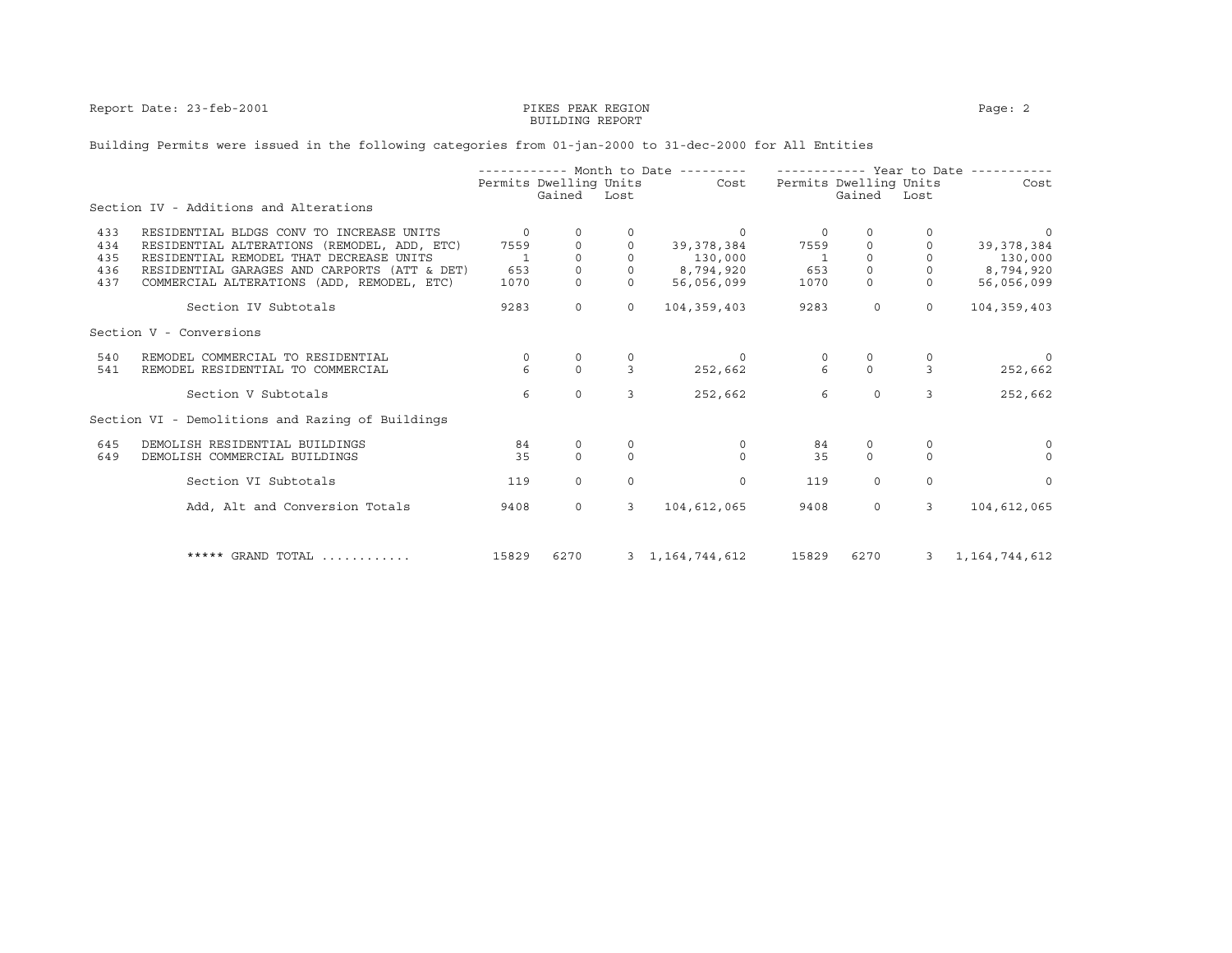Report Date: 23-feb-2001 **PIKES PEAK REGION** PAGE: 2

# BUILDING REPORT

### Building Permits were issued in the following categories from 01-jan-2000 to 31-dec-2000 for All Entities

|     |                                                  |              |                        |              | ----------- Month to Date --------- |                 |                        | ----------- Year to Date ---- |                  |
|-----|--------------------------------------------------|--------------|------------------------|--------------|-------------------------------------|-----------------|------------------------|-------------------------------|------------------|
|     |                                                  |              | Permits Dwelling Units |              | Cost                                |                 | Permits Dwelling Units |                               | Cost             |
|     | Section IV - Additions and Alterations           |              | Gained                 | Lost         |                                     |                 | Gained                 | Lost                          |                  |
| 433 | RESIDENTIAL BLDGS CONV TO INCREASE UNITS         | $\Omega$     |                        | 0            | - 0                                 | $\circ$         | 0                      |                               | 0                |
| 434 | RESIDENTIAL ALTERATIONS (REMODEL, ADD, ETC)      | 7559         |                        |              | 39, 378, 384                        | 7559            |                        |                               | 39,378,384       |
| 435 | RESIDENTIAL REMODEL THAT DECREASE UNITS          | $\mathbf{1}$ | $\Omega$               |              | 130,000                             | $\overline{1}$  | $\Omega$               | $\Omega$                      | 130,000          |
| 436 | RESIDENTIAL GARAGES AND CARPORTS (ATT & DET)     | 653          | $\Omega$               |              | 8,794,920                           | 653             | $\Omega$               |                               | 8,794,920        |
| 437 | COMMERCIAL ALTERATIONS (ADD, REMODEL, ETC)       | 1070         | $\Omega$               |              | 56,056,099                          | 1070            | $\mathsf{O}$           | $\Omega$                      | 56,056,099       |
|     | Section IV Subtotals                             | 9283         | $\Omega$               | $\Omega$     | 104, 359, 403                       | 9283            | $\Omega$               | $\Omega$                      | 104, 359, 403    |
|     | Section V - Conversions                          |              |                        |              |                                     |                 |                        |                               |                  |
| 540 | REMODEL COMMERCIAL TO RESIDENTIAL                | $\circ$      |                        |              | $\Omega$                            |                 |                        |                               |                  |
| 541 | REMODEL RESIDENTIAL TO COMMERCIAL                | 6            | $\Omega$               | 3            | 252,662                             | $6\overline{6}$ | $\Omega$               | 3                             | 252,662          |
|     | Section V Subtotals                              | 6            | $\circ$                | 3            | 252,662                             | 6               | $\Omega$               | 3                             | 252,662          |
|     | Section VI - Demolitions and Razing of Buildings |              |                        |              |                                     |                 |                        |                               |                  |
| 645 | DEMOLISH RESIDENTIAL BUILDINGS                   | 84           | $\mathbf 0$            |              | $\mathbf 0$                         | 84              | 0                      | $\circ$                       | $\Omega$         |
| 649 | DEMOLISH COMMERCIAL BUILDINGS                    | 35           | $\Omega$               | $\Omega$     | $\Omega$                            | 35              | $\Omega$               | $\Omega$                      | $\Omega$         |
|     | Section VI Subtotals                             | 119          | $\Omega$               | $\Omega$     | $\Omega$                            | 119             | $\Omega$               | $\Omega$                      | $\Omega$         |
|     | Add, Alt and Conversion Totals                   | 9408         | $\Omega$               | $\mathbf{3}$ | 104,612,065                         | 9408            | $\circ$                | 3                             | 104,612,065      |
|     |                                                  |              |                        |              |                                     |                 |                        |                               |                  |
|     | ***** GRAND TOTAL                                | 15829        | 6270                   |              | 3 1, 164, 744, 612                  | 15829           | 6270                   | $\overline{3}$                | 1, 164, 744, 612 |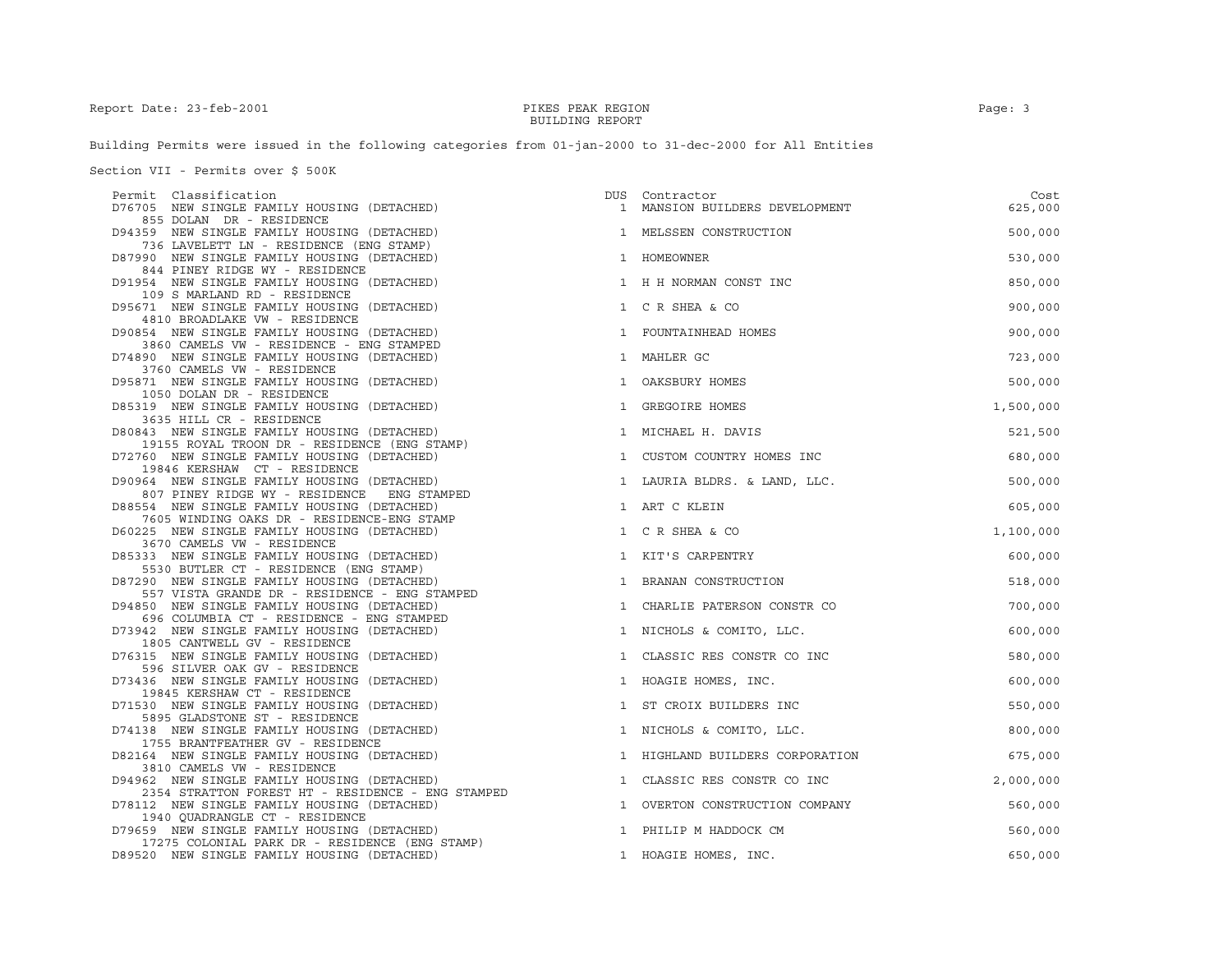## BUILDING REPORT

Building Permits were issued in the following categories from 01-jan-2000 to 31-dec-2000 for All Entities

Section VII - Permits over \$ 500K

| Permit Classification                                                                                                    | DUS | Contractor                      | Cost      |
|--------------------------------------------------------------------------------------------------------------------------|-----|---------------------------------|-----------|
| D76705 NEW SINGLE FAMILY HOUSING (DETACHED)<br>855 DOLAN DR - RESIDENCE                                                  |     | 1 MANSION BUILDERS DEVELOPMENT  | 625,000   |
| D94359 NEW SINGLE FAMILY HOUSING (DETACHED)<br>736 LAVELETT LN - RESIDENCE (ENG STAMP)                                   |     | 1 MELSSEN CONSTRUCTION          | 500,000   |
| D87990 NEW SINGLE FAMILY HOUSING (DETACHED)<br>844 PINEY RIDGE WY - RESIDENCE                                            |     | 1 HOMEOWNER                     | 530,000   |
| D91954 NEW SINGLE FAMILY HOUSING (DETACHED)                                                                              |     | 1 H H NORMAN CONST INC          | 850,000   |
| 109 S MARLAND RD - RESIDENCE<br>D95671 NEW SINGLE FAMILY HOUSING (DETACHED)                                              |     | 1 C R SHEA & CO                 | 900,000   |
| 4810 BROADLAKE VW - RESIDENCE<br>D90854 NEW SINGLE FAMILY HOUSING (DETACHED)                                             |     | 1 FOUNTAINHEAD HOMES            | 900,000   |
| 3860 CAMELS VW - RESIDENCE - ENG STAMPED<br>D74890 NEW SINGLE FAMILY HOUSING (DETACHED)                                  |     | 1 MAHLER GC                     | 723,000   |
| 3760 CAMELS VW - RESIDENCE<br>D95871 NEW SINGLE FAMILY HOUSING (DETACHED)                                                |     | 1 OAKSBURY HOMES                | 500,000   |
| 1050 DOLAN DR - RESIDENCE<br>D85319 NEW SINGLE FAMILY HOUSING (DETACHED)                                                 |     | 1 GREGOIRE HOMES                | 1,500,000 |
| 3635 HILL CR - RESIDENCE<br>D80843 NEW SINGLE FAMILY HOUSING (DETACHED)                                                  |     | 1 MICHAEL H. DAVIS              | 521,500   |
| 19155 ROYAL TROON DR - RESIDENCE (ENG STAMP)<br>D72760 NEW SINGLE FAMILY HOUSING (DETACHED)                              |     | 1 CUSTOM COUNTRY HOMES INC      | 680,000   |
| 19846 KERSHAW CT - RESIDENCE<br>D90964 NEW SINGLE FAMILY HOUSING (DETACHED)                                              |     | 1 LAURIA BLDRS. & LAND, LLC.    | 500,000   |
| 807 PINEY RIDGE WY - RESIDENCE ENG STAMPED<br>D88554 NEW SINGLE FAMILY HOUSING (DETACHED)                                |     | 1 ART C KLEIN                   | 605,000   |
| 7605 WINDING OAKS DR - RESIDENCE-ENG STAMP<br>D60225 NEW SINGLE FAMILY HOUSING (DETACHED)                                |     | 1 C R SHEA & CO                 | 1,100,000 |
| 3670 CAMELS VW - RESIDENCE<br>D85333 NEW SINGLE FAMILY HOUSING (DETACHED)                                                |     | 1 KIT'S CARPENTRY               | 600,000   |
| 5530 BUTLER CT - RESIDENCE (ENG STAMP)<br>D87290 NEW SINGLE FAMILY HOUSING (DETACHED)                                    |     | 1 BRANAN CONSTRUCTION           | 518,000   |
| 557 VISTA GRANDE DR - RESIDENCE - ENG STAMPED<br>D94850 NEW SINGLE FAMILY HOUSING (DETACHED)                             |     | 1 CHARLIE PATERSON CONSTR CO    | 700,000   |
| 696 COLUMBIA CT - RESIDENCE - ENG STAMPED<br>D73942 NEW SINGLE FAMILY HOUSING (DETACHED)<br>1805 CANTWELL GV - RESIDENCE |     | 1 NICHOLS & COMITO, LLC.        | 600,000   |
| D76315 NEW SINGLE FAMILY HOUSING (DETACHED)<br>596 SILVER OAK GV - RESIDENCE                                             |     | 1 CLASSIC RES CONSTR CO INC     | 580,000   |
| D73436 NEW SINGLE FAMILY HOUSING (DETACHED)                                                                              |     | 1 HOAGIE HOMES, INC.            | 600,000   |
| 19845 KERSHAW CT - RESIDENCE<br>D71530 NEW SINGLE FAMILY HOUSING (DETACHED)                                              |     | 1 ST CROIX BUILDERS INC         | 550,000   |
| 5895 GLADSTONE ST - RESIDENCE<br>D74138 NEW SINGLE FAMILY HOUSING (DETACHED)                                             |     | 1 NICHOLS & COMITO, LLC.        | 800,000   |
| 1755 BRANTFEATHER GV - RESIDENCE<br>D82164 NEW SINGLE FAMILY HOUSING (DETACHED)<br>3810 CAMELS VW - RESIDENCE            |     | 1 HIGHLAND BUILDERS CORPORATION | 675,000   |
| D94962 NEW SINGLE FAMILY HOUSING (DETACHED)<br>2354 STRATTON FOREST HT - RESIDENCE - ENG STAMPED                         |     | 1 CLASSIC RES CONSTR CO INC     | 2,000,000 |
| D78112 NEW SINGLE FAMILY HOUSING (DETACHED)<br>1940 OUADRANGLE CT - RESIDENCE                                            |     | 1 OVERTON CONSTRUCTION COMPANY  | 560,000   |
| D79659 NEW SINGLE FAMILY HOUSING (DETACHED)                                                                              |     | 1 PHILIP M HADDOCK CM           | 560,000   |
| 17275 COLONIAL PARK DR - RESIDENCE (ENG STAMP)<br>D89520 NEW SINGLE FAMILY HOUSING (DETACHED)                            |     | 1 HOAGIE HOMES, INC.            | 650,000   |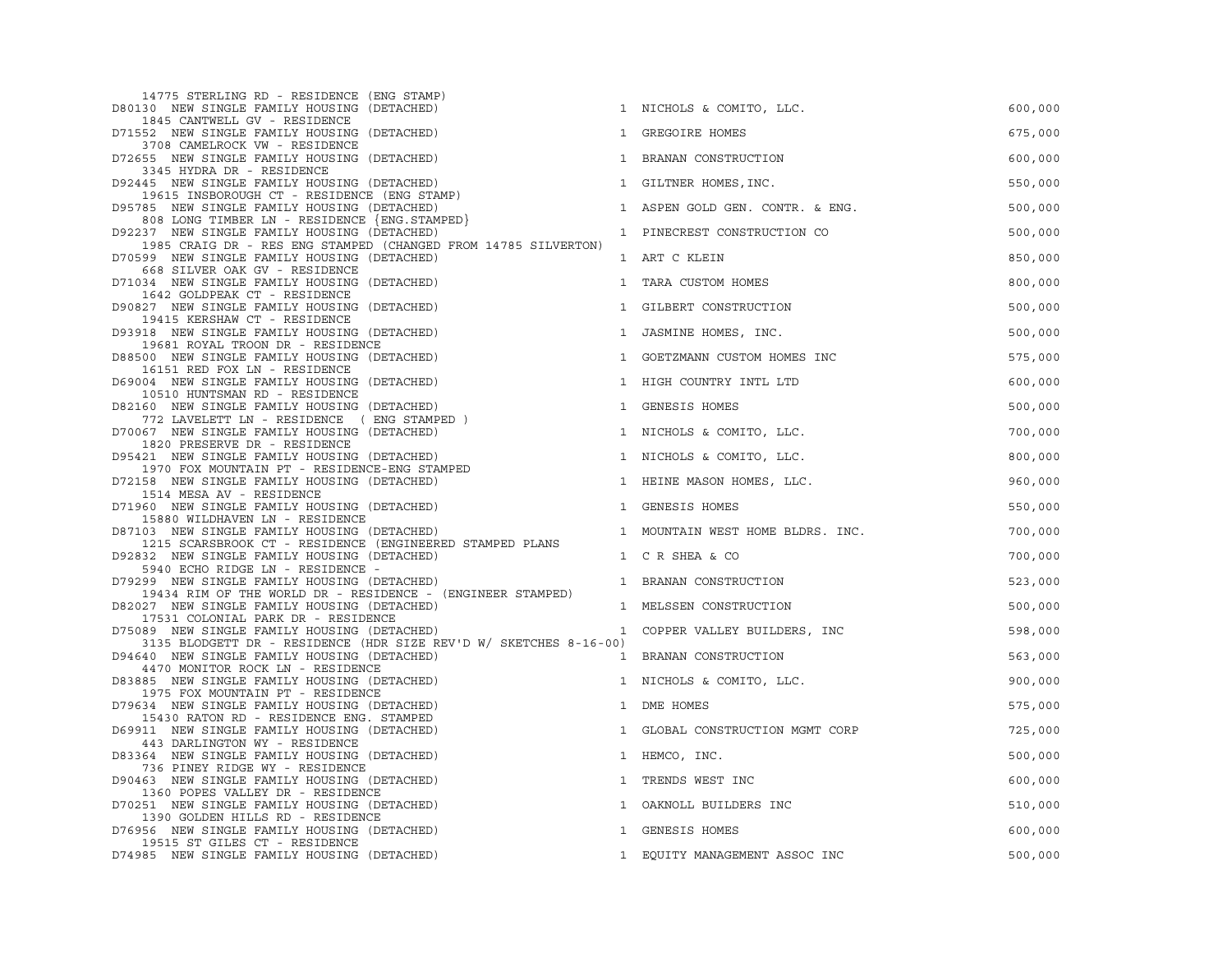| 14775 STERLING RD - RESIDENCE (ENG STAMP)<br>D80130 NEW SINGLE FAMILY HOUSING (DETACHED)                                                     |              | 1 NICHOLS & COMITO, LLC.         | 600,000 |
|----------------------------------------------------------------------------------------------------------------------------------------------|--------------|----------------------------------|---------|
| 1845 CANTWELL GV - RESIDENCE<br>D71552 NEW SINGLE FAMILY HOUSING (DETACHED)                                                                  |              | 1 GREGOIRE HOMES                 | 675,000 |
| 3708 CAMELROCK VW - RESIDENCE<br>D72655 NEW SINGLE FAMILY HOUSING (DETACHED)                                                                 |              | 1 BRANAN CONSTRUCTION            | 600,000 |
| 3345 HYDRA DR - RESIDENCE<br>D92445 NEW SINGLE FAMILY HOUSING (DETACHED)                                                                     |              | 1 GILTNER HOMES, INC.            | 550,000 |
| 19615 INSBOROUGH CT - RESIDENCE (ENG STAMP)<br>D95785 NEW SINGLE FAMILY HOUSING (DETACHED)                                                   |              | 1 ASPEN GOLD GEN. CONTR. & ENG.  | 500,000 |
| 808 LONG TIMBER LN - RESIDENCE {ENG.STAMPED}<br>D92237 NEW SINGLE FAMILY HOUSING (DETACHED)                                                  |              | 1 PINECREST CONSTRUCTION CO      | 500,000 |
| 1985 CRAIG DR - RES ENG STAMPED (CHANGED FROM 14785 SILVERTON)<br>D70599 NEW SINGLE FAMILY HOUSING (DETACHED)                                |              | 1 ART C KLEIN                    | 850,000 |
| 668 SILVER OAK GV - RESIDENCE<br>D71034 NEW SINGLE FAMILY HOUSING (DETACHED)                                                                 | $\mathbf{1}$ | TARA CUSTOM HOMES                | 800,000 |
| 1642 GOLDPEAK CT - RESIDENCE<br>D90827 NEW SINGLE FAMILY HOUSING (DETACHED)                                                                  |              | 1 GILBERT CONSTRUCTION           | 500,000 |
| 19415 KERSHAW CT - RESIDENCE<br>D93918 NEW SINGLE FAMILY HOUSING (DETACHED)                                                                  |              | 1 JASMINE HOMES, INC.            | 500,000 |
| 19681 ROYAL TROON DR - RESIDENCE                                                                                                             |              |                                  |         |
| D88500 NEW SINGLE FAMILY HOUSING (DETACHED)<br>16151 RED FOX LN - RESIDENCE                                                                  |              | 1 GOETZMANN CUSTOM HOMES INC     | 575,000 |
| D69004 NEW SINGLE FAMILY HOUSING (DETACHED)<br>10510 HUNTSMAN RD - RESIDENCE                                                                 |              | 1 HIGH COUNTRY INTL LTD          | 600,000 |
| D82160 NEW SINGLE FAMILY HOUSING (DETACHED)<br>772 LAVELETT LN - RESIDENCE (ENG STAMPED)                                                     | $\mathbf{1}$ | GENESIS HOMES                    | 500,000 |
| D70067 NEW SINGLE FAMILY HOUSING (DETACHED)<br>1820 PRESERVE DR - RESIDENCE                                                                  |              | 1 NICHOLS & COMITO, LLC.         | 700,000 |
| D95421 NEW SINGLE FAMILY HOUSING (DETACHED)<br>121 NEW SINGLE LATTLE TO BEIDENCE-ENG STAMPED<br>1970 FOX MOUNTAIN PT - RESIDENCE-ENG STAMPED |              | 1 NICHOLS & COMITO, LLC.         | 800,000 |
| D72158 NEW SINGLE FAMILY HOUSING (DETACHED)<br>1514 MESA AV - RESIDENCE                                                                      |              | 1 HEINE MASON HOMES, LLC.        | 960,000 |
| D71960 NEW SINGLE FAMILY HOUSING (DETACHED)<br>15880 WILDHAVEN LN - RESIDENCE                                                                | $\mathbf{1}$ | GENESIS HOMES                    | 550,000 |
| D87103 NEW SINGLE FAMILY HOUSING (DETACHED)<br>1215 SCARSBROOK CT - RESIDENCE (ENGINEERED STAMPED PLANS                                      |              | 1 MOUNTAIN WEST HOME BLDRS. INC. | 700,000 |
| D92832 NEW SINGLE FAMILY HOUSING (DETACHED)<br>5940 ECHO RIDGE LN - RESIDENCE -                                                              |              | 1 C R SHEA & CO                  | 700,000 |
| D79299 NEW SINGLE FAMILY HOUSING (DETACHED)<br>19434 RIM OF THE WORLD DR - RESIDENCE - (ENGINEER STAMPED)                                    |              | 1 BRANAN CONSTRUCTION            | 523,000 |
| D82027 NEW SINGLE FAMILY HOUSING (DETACHED)<br>17531 COLONIAL PARK DR - RESIDENCE                                                            |              | 1 MELSSEN CONSTRUCTION           | 500,000 |
| D75089 NEW SINGLE FAMILY HOUSING (DETACHED)<br>3135 BLODGETT DR - RESIDENCE (HDR SIZE REV'D W/ SKETCHES 8-16-00)                             |              | 1 COPPER VALLEY BUILDERS, INC    | 598,000 |
| D94640 NEW SINGLE FAMILY HOUSING (DETACHED)                                                                                                  |              | 1 BRANAN CONSTRUCTION            | 563,000 |
| 4470 MONITOR ROCK LN - RESIDENCE<br>D83885 NEW SINGLE FAMILY HOUSING (DETACHED)                                                              |              | 1 NICHOLS & COMITO, LLC.         | 900,000 |
| 1975 FOX MOUNTAIN PT - RESIDENCE<br>D79634 NEW SINGLE FAMILY HOUSING (DETACHED)                                                              |              | 1 DME HOMES                      | 575,000 |
| 15430 RATON RD - RESIDENCE ENG. STAMPED<br>D69911 NEW SINGLE FAMILY HOUSING (DETACHED)                                                       |              | 1 GLOBAL CONSTRUCTION MGMT CORP  | 725,000 |
| 443 DARLINGTON WY - RESIDENCE<br>D83364 NEW SINGLE FAMILY HOUSING (DETACHED)                                                                 |              | 1 HEMCO, INC.                    | 500,000 |
| 736 PINEY RIDGE WY - RESIDENCE<br>D90463 NEW SINGLE FAMILY HOUSING (DETACHED)                                                                | $\mathbf{1}$ | TRENDS WEST INC                  | 600,000 |
| 1360 POPES VALLEY DR - RESIDENCE<br>D70251 NEW SINGLE FAMILY HOUSING (DETACHED)                                                              | $\mathbf{1}$ | OAKNOLL BUILDERS INC             | 510,000 |
| 1390 GOLDEN HILLS RD - RESIDENCE<br>D76956 NEW SINGLE FAMILY HOUSING (DETACHED)                                                              |              | 1 GENESIS HOMES                  | 600,000 |
| 19515 ST GILES CT - RESIDENCE<br>D74985 NEW SINGLE FAMILY HOUSING (DETACHED)                                                                 |              | 1 EQUITY MANAGEMENT ASSOC INC    | 500,000 |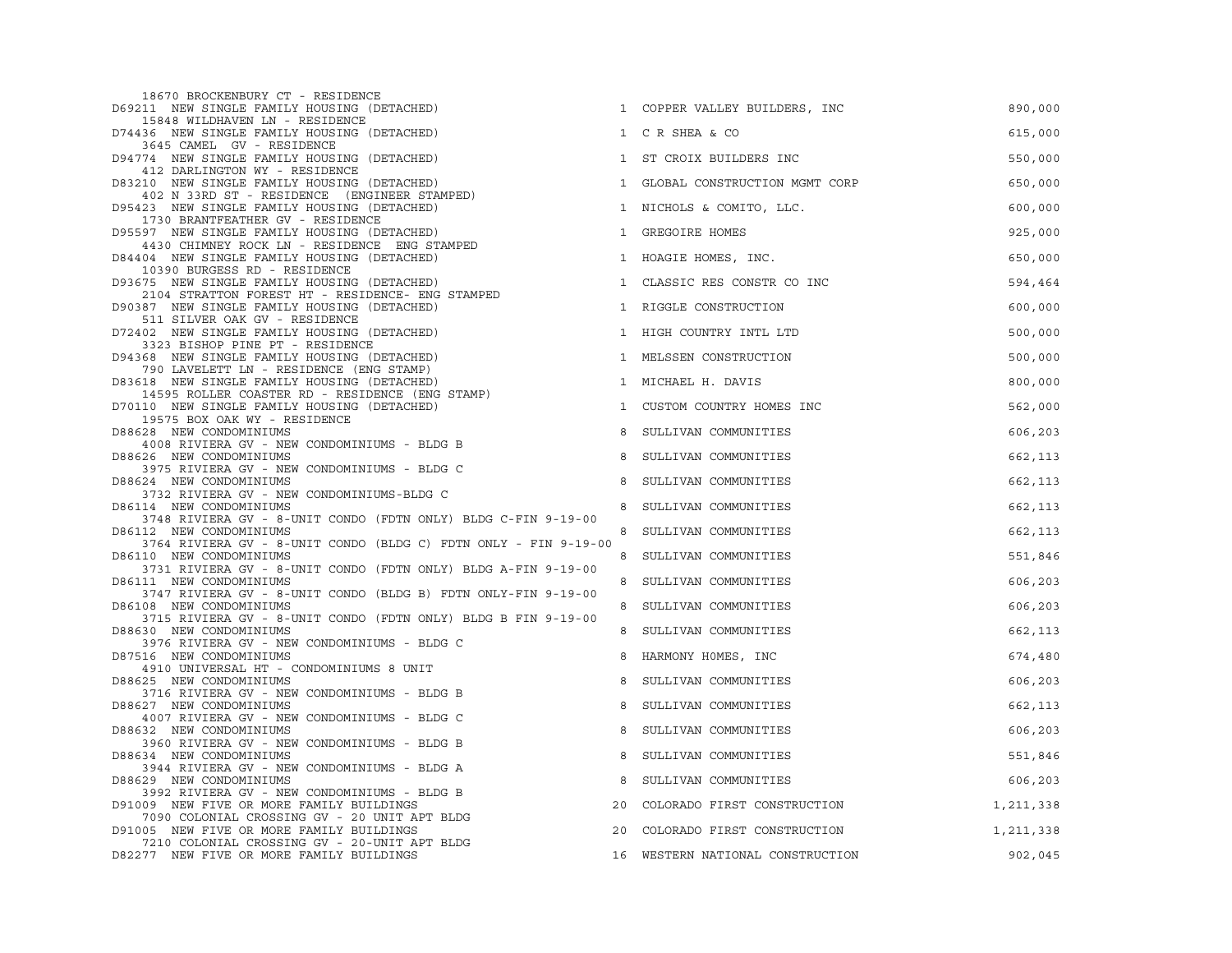| 18670 BROCKENBURY CT - RESIDENCE<br>D69211 NEW SINGLE FAMILY HOUSING (DETACHED)                 |              | 1 COPPER VALLEY BUILDERS, INC    | 890,000   |
|-------------------------------------------------------------------------------------------------|--------------|----------------------------------|-----------|
| 15848 WILDHAVEN LN - RESIDENCE<br>D74436 NEW SINGLE FAMILY HOUSING (DETACHED)                   |              | 1 C R SHEA & CO                  | 615,000   |
| 3645 CAMEL GV - RESIDENCE<br>D94774 NEW SINGLE FAMILY HOUSING (DETACHED)                        | 1            | ST CROIX BUILDERS INC            | 550,000   |
| 412 DARLINGTON WY - RESIDENCE<br>D83210 NEW SINGLE FAMILY HOUSING (DETACHED)                    | $\mathbf{1}$ | GLOBAL CONSTRUCTION MGMT CORP    | 650,000   |
| 402 N 33RD ST - RESIDENCE (ENGINEER STAMPED)<br>D95423 NEW SINGLE FAMILY HOUSING (DETACHED)     |              | 1 NICHOLS & COMITO, LLC.         | 600,000   |
| 1730 BRANTFEATHER GV - RESIDENCE<br>D95597 NEW SINGLE FAMILY HOUSING (DETACHED)                 | $\mathbf{1}$ | GREGOIRE HOMES                   | 925,000   |
| 4430 CHIMNEY ROCK LN - RESIDENCE ENG STAMPED<br>D84404 NEW SINGLE FAMILY HOUSING (DETACHED)     |              | 1 HOAGIE HOMES, INC.             | 650,000   |
| 10390 BURGESS RD - RESIDENCE<br>D93675 NEW SINGLE FAMILY HOUSING (DETACHED)                     | $\mathbf{1}$ | CLASSIC RES CONSTR CO INC        | 594,464   |
| 2104 STRATTON FOREST HT - RESIDENCE- ENG STAMPED<br>D90387 NEW SINGLE FAMILY HOUSING (DETACHED) |              | 1 RIGGLE CONSTRUCTION            | 600,000   |
| 511 SILVER OAK GV - RESIDENCE<br>D72402 NEW SINGLE FAMILY HOUSING (DETACHED)                    |              | 1 HIGH COUNTRY INTL LTD          | 500,000   |
| 3323 BISHOP PINE PT - RESIDENCE<br>D94368 NEW SINGLE FAMILY HOUSING (DETACHED)                  |              | 1 MELSSEN CONSTRUCTION           | 500,000   |
| 790 LAVELETT LN - RESIDENCE (ENG STAMP)<br>D83618 NEW SINGLE FAMILY HOUSING (DETACHED)          |              | 1 MICHAEL H. DAVIS               | 800,000   |
| 14595 ROLLER COASTER RD - RESIDENCE (ENG STAMP)<br>D70110 NEW SINGLE FAMILY HOUSING (DETACHED)  | $\mathbf{1}$ | CUSTOM COUNTRY HOMES INC         | 562,000   |
| 19575 BOX OAK WY - RESIDENCE<br>D88628 NEW CONDOMINIUMS                                         | 8            | SULLIVAN COMMUNITIES             | 606,203   |
| 4008 RIVIERA GV - NEW CONDOMINIUMS - BLDG B<br>D88626 NEW CONDOMINIUMS                          | 8            | SULLIVAN COMMUNITIES             | 662,113   |
| 3975 RIVIERA GV - NEW CONDOMINIUMS - BLDG C                                                     |              |                                  |           |
| D88624 NEW CONDOMINIUMS<br>3732 RIVIERA GV - NEW CONDOMINIUMS-BLDG C                            | 8            | SULLIVAN COMMUNITIES             | 662,113   |
| D86114 NEW CONDOMINIUMS                                                                         | 8            | SULLIVAN COMMUNITIES             | 662,113   |
| 3748 RIVIERA GV - 8-UNIT CONDO (FDTN ONLY) BLDG C-FIN 9-19-00<br>D86112 NEW CONDOMINIUMS        | 8            | SULLIVAN COMMUNITIES             | 662,113   |
| 3764 RIVIERA GV - 8-UNIT CONDO (BLDG C) FDTN ONLY - FIN 9-19-00<br>D86110 NEW CONDOMINIUMS      |              | 8 SULLIVAN COMMUNITIES           | 551,846   |
| 3731 RIVIERA GV - 8-UNIT CONDO (FDTN ONLY) BLDG A-FIN 9-19-00<br>D86111 NEW CONDOMINIUMS        |              | 8 SULLIVAN COMMUNITIES           | 606,203   |
| 3747 RIVIERA GV - 8-UNIT CONDO (BLDG B) FDTN ONLY-FIN 9-19-00<br>D86108 NEW CONDOMINIUMS        |              | 8 SULLIVAN COMMUNITIES           | 606,203   |
| 3715 RIVIERA GV - 8-UNIT CONDO (FDTN ONLY) BLDG B FIN 9-19-00<br>D88630 NEW CONDOMINIUMS        |              | 8 SULLIVAN COMMUNITIES           | 662,113   |
| 3976 RIVIERA GV - NEW CONDOMINIUMS - BLDG C<br>D87516 NEW CONDOMINIUMS                          | 8            | HARMONY HOMES, INC               | 674,480   |
| 4910 UNIVERSAL HT - CONDOMINIUMS 8 UNIT<br>D88625 NEW CONDOMINIUMS                              | 8            | SULLIVAN COMMUNITIES             | 606,203   |
| 3716 RIVIERA GV - NEW CONDOMINIUMS - BLDG B<br>D88627 NEW CONDOMINIUMS                          | 8            | SULLIVAN COMMUNITIES             | 662,113   |
| 4007 RIVIERA GV - NEW CONDOMINIUMS - BLDG C<br>D88632 NEW CONDOMINIUMS                          | 8            | SULLIVAN COMMUNITIES             | 606,203   |
| 3960 RIVIERA GV - NEW CONDOMINIUMS - BLDG B<br>D88634 NEW CONDOMINIUMS                          | 8            | SULLIVAN COMMUNITIES             | 551,846   |
| 3944 RIVIERA GV - NEW CONDOMINIUMS - BLDG A<br>D88629 NEW CONDOMINIUMS                          | 8            | SULLIVAN COMMUNITIES             | 606,203   |
| 3992 RIVIERA GV - NEW CONDOMINIUMS - BLDG B                                                     |              |                                  |           |
| D91009 NEW FIVE OR MORE FAMILY BUILDINGS<br>7090 COLONIAL CROSSING GV - 20 UNIT APT BLDG        | 20           | COLORADO FIRST CONSTRUCTION      | 1,211,338 |
| D91005 NEW FIVE OR MORE FAMILY BUILDINGS<br>7210 COLONIAL CROSSING GV - 20-UNIT APT BLDG        | 20           | COLORADO FIRST CONSTRUCTION      | 1,211,338 |
| D82277 NEW FIVE OR MORE FAMILY BUILDINGS                                                        |              | 16 WESTERN NATIONAL CONSTRUCTION | 902,045   |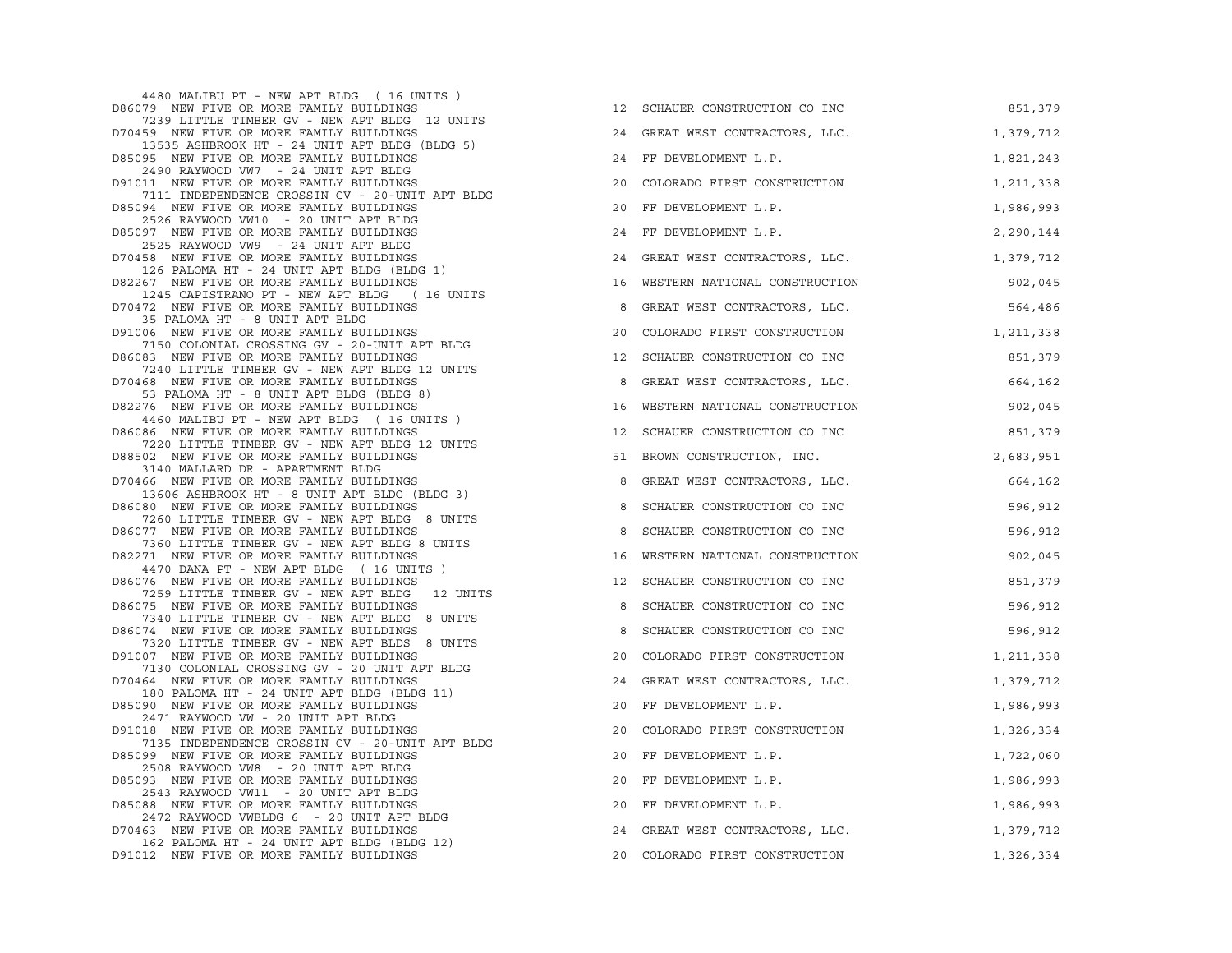| 4480 MALIBU PT - NEW APT BLDG (I6 UNITS)                                                                                         |    |                                  |           |
|----------------------------------------------------------------------------------------------------------------------------------|----|----------------------------------|-----------|
| D86079 NEW FIVE OR MORE FAMILY BUILDINGS                                                                                         | 12 | SCHAUER CONSTRUCTION CO INC      | 851,379   |
| 7239 LITTLE TIMBER GV - NEW APT BLDG 12 UNITS<br>D70459 NEW FIVE OR MORE FAMILY BUILDINGS                                        |    | 24 GREAT WEST CONTRACTORS, LLC.  | 1,379,712 |
| 13535 ASHBROOK HT - 24 UNIT APT BLDG (BLDG 5)<br>D85095 NEW FIVE OR MORE FAMILY BUILDINGS<br>2490 RAYWOOD VW7 - 24 UNIT APT BLDG |    | 24 FF DEVELOPMENT L.P.           | 1,821,243 |
| D91011 NEW FIVE OR MORE FAMILY BUILDINGS<br>7111 INDEPENDENCE CROSSIN GV - 20-UNIT APT BLDG                                      |    | 20 COLORADO FIRST CONSTRUCTION   | 1,211,338 |
| D85094 NEW FIVE OR MORE FAMILY BUILDINGS<br>2526 RAYWOOD VW10 - 20 UNIT APT BLDG                                                 | 20 | FF DEVELOPMENT L.P.              | 1,986,993 |
| D85097 NEW FIVE OR MORE FAMILY BUILDINGS<br>2525 RAYWOOD VW9 - 24 UNIT APT BLDG                                                  |    | 24 FF DEVELOPMENT L.P.           | 2,290,144 |
| D70458 NEW FIVE OR MORE FAMILY BUILDINGS<br>126 PALOMA HT - 24 UNIT APT BLDG (BLDG 1)                                            |    | 24 GREAT WEST CONTRACTORS, LLC.  | 1,379,712 |
| D82267 NEW FIVE OR MORE FAMILY BUILDINGS<br>1245 CAPISTRANO PT - NEW APT BLDG (16 UNITS                                          |    | 16 WESTERN NATIONAL CONSTRUCTION | 902,045   |
| D70472 NEW FIVE OR MORE FAMILY BUILDINGS<br>35 PALOMA HT - 8 UNIT APT BLDG                                                       | 8  | GREAT WEST CONTRACTORS, LLC.     | 564,486   |
| D91006 NEW FIVE OR MORE FAMILY BUILDINGS<br>7150 COLONIAL CROSSING GV - 20-UNIT APT BLDG                                         | 20 | COLORADO FIRST CONSTRUCTION      | 1,211,338 |
| D86083 NEW FIVE OR MORE FAMILY BUILDINGS<br>7240 LITTLE TIMBER GV - NEW APT BLDG 12 UNITS                                        | 12 | SCHAUER CONSTRUCTION CO INC      | 851,379   |
| D70468 NEW FIVE OR MORE FAMILY BUILDINGS<br>53 PALOMA HT - 8 UNIT APT BLDG (BLDG 8)                                              | 8  | GREAT WEST CONTRACTORS, LLC.     | 664,162   |
| D82276 NEW FIVE OR MORE FAMILY BUILDINGS<br>4460 MALIBU PT - NEW APT BLDG (16 UNITS)                                             | 16 | WESTERN NATIONAL CONSTRUCTION    | 902,045   |
| D86086 NEW FIVE OR MORE FAMILY BUILDINGS<br>7220 LITTLE TIMBER GV - NEW APT BLDG 12 UNITS                                        | 12 | SCHAUER CONSTRUCTION CO INC      | 851,379   |
| D88502 NEW FIVE OR MORE FAMILY BUILDINGS<br>3140 MALLARD DR - APARTMENT BLDG                                                     |    | 51 BROWN CONSTRUCTION, INC.      | 2,683,951 |
| D70466 NEW FIVE OR MORE FAMILY BUILDINGS<br>13606 ASHBROOK HT - 8 UNIT APT BLDG (BLDG 3)                                         | 8  | GREAT WEST CONTRACTORS, LLC.     | 664,162   |
| D86080 NEW FIVE OR MORE FAMILY BUILDINGS<br>7260 LITTLE TIMBER GV - NEW APT BLDG 8 UNITS                                         | 8  | SCHAUER CONSTRUCTION CO INC      | 596,912   |
| D86077 NEW FIVE OR MORE FAMILY BUILDINGS<br>7360 LITTLE TIMBER GV - NEW APT BLDG 8 UNITS                                         | 8  | SCHAUER CONSTRUCTION CO INC      | 596,912   |
| D82271 NEW FIVE OR MORE FAMILY BUILDINGS<br>4470 DANA PT - NEW APT BLDG (16 UNITS)                                               | 16 | WESTERN NATIONAL CONSTRUCTION    | 902,045   |
| D86076 NEW FIVE OR MORE FAMILY BUILDINGS<br>7259 LITTLE TIMBER GV - NEW APT BLDG 12 UNITS                                        | 12 | SCHAUER CONSTRUCTION CO INC      | 851,379   |
| D86075 NEW FIVE OR MORE FAMILY BUILDINGS<br>7340 LITTLE TIMBER GV - NEW APT BLDG 8 UNITS                                         | 8  | SCHAUER CONSTRUCTION CO INC      | 596,912   |
| D86074 NEW FIVE OR MORE FAMILY BUILDINGS<br>7320 LITTLE TIMBER GV - NEW APT BLDS 8 UNITS                                         | 8  | SCHAUER CONSTRUCTION CO INC      | 596,912   |
| D91007 NEW FIVE OR MORE FAMILY BUILDINGS<br>7130 COLONIAL CROSSING GV - 20 UNIT APT BLDG                                         | 20 | COLORADO FIRST CONSTRUCTION      | 1,211,338 |
| D70464 NEW FIVE OR MORE FAMILY BUILDINGS<br>180 PALOMA HT - 24 UNIT APT BLDG (BLDG 11)                                           |    | 24 GREAT WEST CONTRACTORS, LLC.  | 1,379,712 |
| D85090 NEW FIVE OR MORE FAMILY BUILDINGS<br>2471 RAYWOOD VW - 20 UNIT APT BLDG                                                   | 20 | FF DEVELOPMENT L.P.              | 1,986,993 |
| D91018 NEW FIVE OR MORE FAMILY BUILDINGS<br>7135 INDEPENDENCE CROSSIN GV - 20-UNIT APT BLDG                                      | 20 | COLORADO FIRST CONSTRUCTION      | 1,326,334 |
| D85099 NEW FIVE OR MORE FAMILY BUILDINGS<br>2508 RAYWOOD VW8 - 20 UNIT APT BLDG                                                  | 20 | FF DEVELOPMENT L.P.              | 1,722,060 |
| D85093 NEW FIVE OR MORE FAMILY BUILDINGS<br>2543 RAYWOOD VW11 - 20 UNIT APT BLDG                                                 | 20 | FF DEVELOPMENT L.P.              | 1,986,993 |
| D85088 NEW FIVE OR MORE FAMILY BUILDINGS<br>2472 RAYWOOD VWBLDG 6 - 20 UNIT APT BLDG                                             | 20 | FF DEVELOPMENT L.P.              | 1,986,993 |
| D70463 NEW FIVE OR MORE FAMILY BUILDINGS<br>162 PALOMA HT - 24 UNIT APT BLDG (BLDG 12)                                           | 24 | GREAT WEST CONTRACTORS, LLC.     | 1,379,712 |
| D91012 NEW FIVE OR MORE FAMILY BUILDINGS                                                                                         |    | 20 COLORADO FIRST CONSTRUCTION   | 1,326,334 |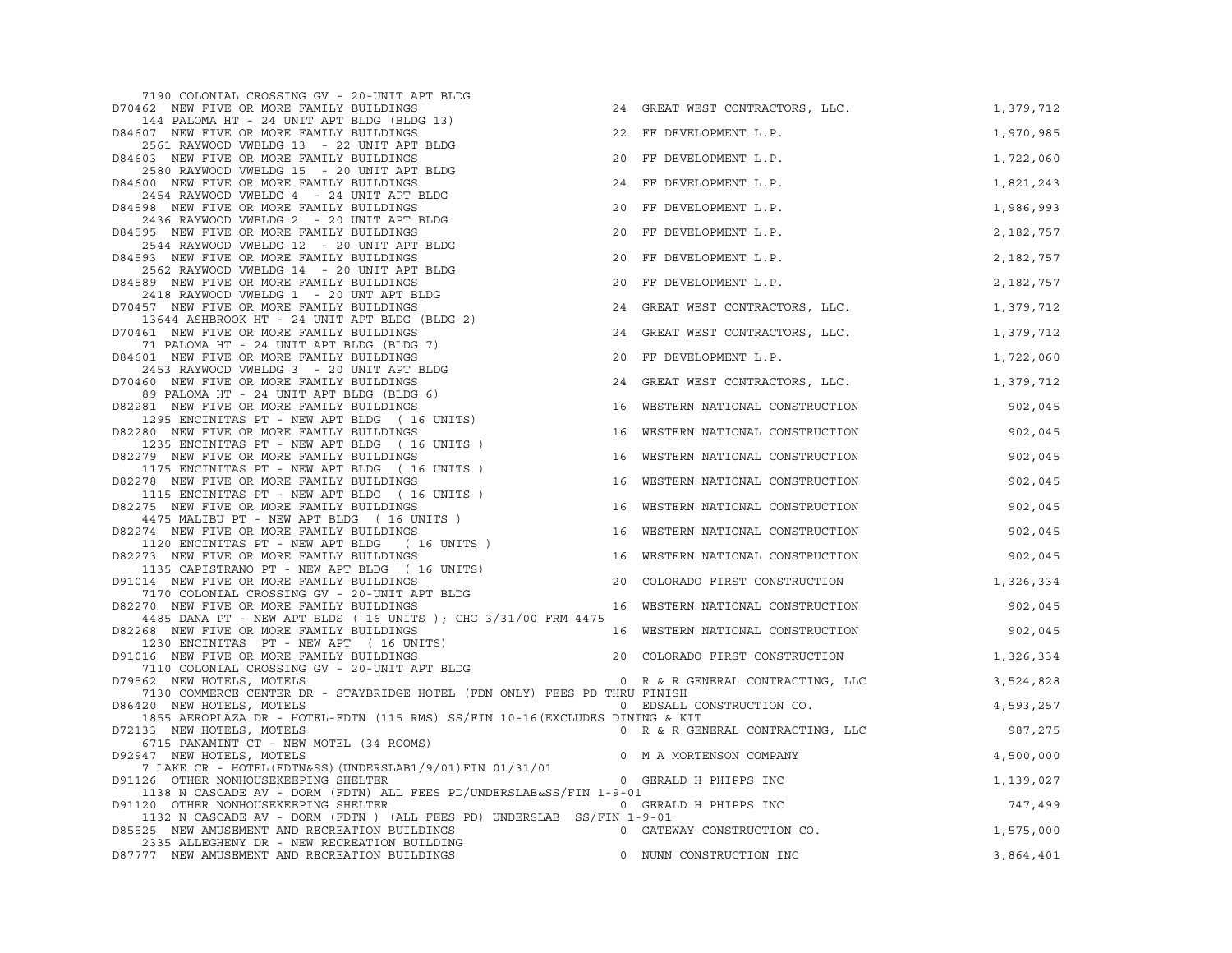| 7190 COLONIAL CROSSING GV - 20-UNIT APT BLDG<br>D70462 NEW FIVE OR MORE FAMILY BUILDINGS                                   |    | 24 GREAT WEST CONTRACTORS, LLC.          | 1,379,712 |
|----------------------------------------------------------------------------------------------------------------------------|----|------------------------------------------|-----------|
| 144 PALOMA HT - 24 UNIT APT BLDG (BLDG 13)<br>D84607 NEW FIVE OR MORE FAMILY BUILDINGS                                     |    | 22 FF DEVELOPMENT L.P.                   | 1,970,985 |
| 2561 RAYWOOD VWBLDG 13 - 22 UNIT APT BLDG<br>D84603 NEW FIVE OR MORE FAMILY BUILDINGS                                      | 20 | FF DEVELOPMENT L.P.                      | 1,722,060 |
| 2580 RAYWOOD VWBLDG 15 - 20 UNIT APT BLDG<br>D84600 NEW FIVE OR MORE FAMILY BUILDINGS                                      |    | 24 FF DEVELOPMENT L.P.                   | 1,821,243 |
| 2454 RAYWOOD VWBLDG 4 - 24 UNIT APT BLDG                                                                                   |    |                                          |           |
| D84598 NEW FIVE OR MORE FAMILY BUILDINGS<br>2436 RAYWOOD VWBLDG 2 - 20 UNIT APT BLDG                                       | 20 | FF DEVELOPMENT L.P.                      | 1,986,993 |
| D84595 NEW FIVE OR MORE FAMILY BUILDINGS<br>2544 RAYWOOD VWBLDG 12 - 20 UNIT APT BLDG                                      | 20 | FF DEVELOPMENT L.P.                      | 2,182,757 |
| D84593 NEW FIVE OR MORE FAMILY BUILDINGS                                                                                   | 20 | FF DEVELOPMENT L.P.                      | 2,182,757 |
| 2562 RAYWOOD VWBLDG 14 - 20 UNIT APT BLDG<br>D84589 NEW FIVE OR MORE FAMILY BUILDINGS                                      | 20 | FF DEVELOPMENT L.P.                      | 2,182,757 |
| 2418 RAYWOOD VWBLDG 1 - 20 UNT APT BLDG<br>D70457 NEW FIVE OR MORE FAMILY BUILDINGS                                        | 24 | GREAT WEST CONTRACTORS, LLC.             | 1,379,712 |
| 13644 ASHBROOK HT - 24 UNIT APT BLDG (BLDG 2)                                                                              |    |                                          |           |
| D70461 NEW FIVE OR MORE FAMILY BUILDINGS<br>71 PALOMA HT - 24 UNIT APT BLDG (BLDG 7)                                       |    | 24 GREAT WEST CONTRACTORS, LLC.          | 1,379,712 |
| D84601 NEW FIVE OR MORE FAMILY BUILDINGS<br>2453 RAYWOOD VWBLDG 3 - 20 UNIT APT BLDG                                       | 20 | FF DEVELOPMENT L.P.                      | 1,722,060 |
| D70460 NEW FIVE OR MORE FAMILY BUILDINGS                                                                                   | 24 | GREAT WEST CONTRACTORS, LLC.             | 1,379,712 |
| 89 PALOMA HT - 24 UNIT APT BLDG (BLDG 6)<br>D82281 NEW FIVE OR MORE FAMILY BUILDINGS                                       | 16 | WESTERN NATIONAL CONSTRUCTION            | 902,045   |
| 1295 ENCINITAS PT - NEW APT BLDG (16 UNITS)<br>D82280 NEW FIVE OR MORE FAMILY BUILDINGS                                    | 16 | WESTERN NATIONAL CONSTRUCTION            | 902,045   |
| 1235 ENCINITAS PT - NEW APT BLDG (16 UNITS)<br>D82279 NEW FIVE OR MORE FAMILY BUILDINGS                                    | 16 | WESTERN NATIONAL CONSTRUCTION            | 902,045   |
| 1175 ENCINITAS PT - NEW APT BLDG (16 UNITS)                                                                                |    |                                          |           |
| D82278 NEW FIVE OR MORE FAMILY BUILDINGS<br>1115 ENCINITAS PT - NEW APT BLDG (16 UNITS)                                    | 16 | WESTERN NATIONAL CONSTRUCTION            | 902,045   |
| D82275 NEW FIVE OR MORE FAMILY BUILDINGS<br>4475 MALIBU PT - NEW APT BLDG (16 UNITS)                                       | 16 | WESTERN NATIONAL CONSTRUCTION            | 902,045   |
| D82274 NEW FIVE OR MORE FAMILY BUILDINGS<br>1120 ENCINITAS PT - NEW APT BLDG (16 UNITS)                                    | 16 | WESTERN NATIONAL CONSTRUCTION            | 902,045   |
| D82273 NEW FIVE OR MORE FAMILY BUILDINGS                                                                                   |    | 16 WESTERN NATIONAL CONSTRUCTION 602,045 |           |
| 1135 CAPISTRANO PT - NEW APT BLDG (16 UNITS)<br>D91014 NEW FIVE OR MORE FAMILY BUILDINGS                                   |    | 20 COLORADO FIRST CONSTRUCTION           | 1,326,334 |
| 7170 COLONIAL CROSSING GV - 20-UNIT APT BLDG<br>D82270 NEW FIVE OR MORE FAMILY BUILDINGS                                   |    | 16 WESTERN NATIONAL CONSTRUCTION         | 902,045   |
| 4485 DANA PT - NEW APT BLDS ( 16 UNITS ); CHG 3/31/00 FRM 4475<br>D82268 NEW FIVE OR MORE FAMILY BUILDINGS                 |    | 16 WESTERN NATIONAL CONSTRUCTION         | 902,045   |
| 1230 ENCINITAS PT - NEW APT (16 UNITS)                                                                                     |    |                                          |           |
| D91016 NEW FIVE OR MORE FAMILY BUILDINGS<br>7110 COLONIAL CROSSING GV - 20-UNIT APT BLDG                                   |    | 20 COLORADO FIRST CONSTRUCTION           | 1,326,334 |
| D79562 NEW HOTELS, MOTELS<br>7130 COMMERCE CENTER DR - STAYBRIDGE HOTEL (FDN ONLY) FEES PD THRU FINISH                     |    | 0 R & R GENERAL CONTRACTING, LLC         | 3,524,828 |
| D86420 NEW HOTELS, MOTELS                                                                                                  |    | 0 EDSALL CONSTRUCTION CO.                | 4,593,257 |
| 1855 AEROPLAZA DR - HOTEL-FDTN (115 RMS) SS/FIN 10-16 (EXCLUDES DINING & KIT<br>D72133 NEW HOTELS, MOTELS                  |    | 0 R & R GENERAL CONTRACTING, LLC         | 987,275   |
| 6715 PANAMINT CT - NEW MOTEL (34 ROOMS)<br>D92947 NEW HOTELS, MOTELS                                                       |    | 0 M A MORTENSON COMPANY                  | 4,500,000 |
| 7 LAKE CR - HOTEL (FDTN&SS) (UNDERSLAB1/9/01) FIN 01/31/01<br>D91126 OTHER NONHOUSEKEEPING SHELTER                         |    | 0 GERALD H PHIPPS INC                    | 1,139,027 |
| 1138 N CASCADE AV - DORM (FDTN) ALL FEES PD/UNDERSLAB&SS/FIN 1-9-01                                                        |    |                                          |           |
| D91120 OTHER NONHOUSEKEEPING SHELTER<br>1132 N CASCADE AV - DORM (FDTN) (ALL FEES PD) UNDERSLAB SS/FIN 1-9-01              |    | 0 GERALD H PHIPPS INC                    | 747,499   |
| D85525 NEW AMUSEMENT AND RECREATION BUILDINGS 60 0 GATEWAY CONSTRUCTION CO.<br>2335 ALLEGHENY DR - NEW RECREATION BUILDING |    |                                          | 1,575,000 |
| D87777 NEW AMUSEMENT AND RECREATION BUILDINGS                                                                              |    | 0 NUNN CONSTRUCTION INC                  | 3,864,401 |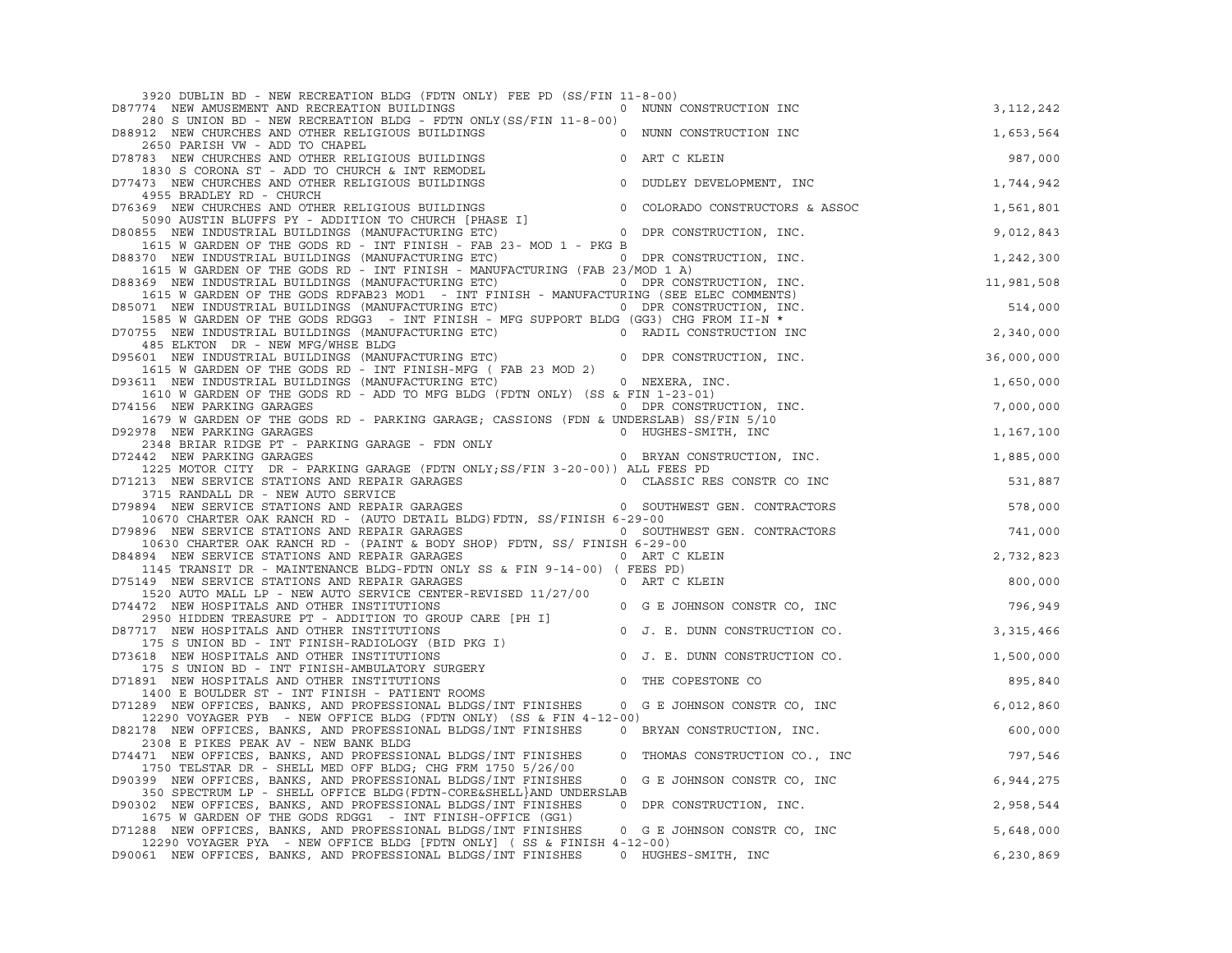| 3920 DUBLIN BD - NEW RECREATION BLDG (FDTN ONLY) FEE PD (SS/FIN 11-8-00)                                                                                                      |             |
|-------------------------------------------------------------------------------------------------------------------------------------------------------------------------------|-------------|
| D87774 NEW AMUSEMENT AND RECREATION BUILDINGS<br>0 NUNN CONSTRUCTION INC                                                                                                      | 3, 112, 242 |
| 280 S UNION BD - NEW RECREATION BLDG - FDTN ONLY (SS/FIN 11-8-00)<br>D88912 NEW CHURCHES AND OTHER RELIGIOUS BUILDINGS<br>0 NUNN CONSTRUCTION INC                             | 1,653,564   |
| 2650 PARISH VW - ADD TO CHAPEL                                                                                                                                                |             |
| D78783 NEW CHURCHES AND OTHER RELIGIOUS BUILDINGS<br>0 ART C KLEIN<br>1830 S CORONA ST - ADD TO CHURCH & INT REMODEL                                                          | 987,000     |
| 0 DUDLEY DEVELOPMENT, INC<br>D77473 NEW CHURCHES AND OTHER RELIGIOUS BUILDINGS                                                                                                | 1,744,942   |
| 4955 BRADLEY RD - CHURCH                                                                                                                                                      |             |
| D76369 NEW CHURCHES AND OTHER RELIGIOUS BUILDINGS<br>0 COLORADO CONSTRUCTORS & ASSOC<br>5090 AUSTIN BLUFFS PY - ADDITION TO CHURCH [PHASE I]                                  | 1,561,801   |
| D80855 NEW INDUSTRIAL BUILDINGS (MANUFACTURING ETC) 0 DPR CONSTRUCTION, INC.                                                                                                  | 9,012,843   |
| 1615 W GARDEN OF THE GODS RD - INT FINISH - FAB 23- MOD 1 - PKG B<br>D88370 NEW INDUSTRIAL BUILDINGS (MANUFACTURING ETC) 0 DPR CONSTRUCTION, INC.                             | 1,242,300   |
| 1615 W GARDEN OF THE GODS RD - INT FINISH - MANUFACTURING (FAB 23/MOD 1 A)                                                                                                    |             |
| D88369 NEW INDUSTRIAL BUILDINGS (MANUFACTURING ETC) 0 DPR CONSTRUCTION, INC.<br>1615 W GARDEN OF THE GODS RDFAB23 MOD1 - INT FINISH - MANUFACTURING (SEE ELEC COMMENTS)       | 11,981,508  |
| D85071 NEW INDUSTRIAL BUILDINGS (MANUFACTURING ETC) 0 DPR CONSTRUCTION, INC.                                                                                                  | 514,000     |
| 1585 W GARDEN OF THE GODS RDGG3 - INT FINISH - MFG SUPPORT BLDG (GG3) CHG FROM II-N *                                                                                         |             |
| D70755 NEW INDUSTRIAL BUILDINGS (MANUFACTURING ETC) 0 RADIL CONSTRUCTION INC<br>485 ELKTON DR - NEW MFG/WHSE BLDG                                                             | 2,340,000   |
| D95601 NEW INDUSTRIAL BUILDINGS (MANUFACTURING ETC)<br>0 DPR CONSTRUCTION, INC.                                                                                               | 36,000,000  |
| 1615 W GARDEN OF THE GODS RD - INT FINISH-MFG (FAB 23 MOD 2)<br>D93611 NEW INDUSTRIAL BUILDINGS (MANUFACTURING ETC) 0 NEXERA, INC.                                            | 1,650,000   |
| 1610 W GARDEN OF THE GODS RD - ADD TO MFG BLDG (FDTN ONLY) (SS & FIN 1-23-01)                                                                                                 |             |
| D74156 NEW PARKING GARAGES<br>0 DPR CONSTRUCTION, INC.<br>1679 W GARDEN OF THE GODS RD - PARKING GARAGE; CASSIONS (FDN & UNDERSLAB) SS/FIN 5/10                               | 7,000,000   |
| D92978 NEW PARKING GARAGES<br>0 HUGHES-SMITH, INC                                                                                                                             | 1,167,100   |
| 2348 BRIAR RIDGE PT - PARKING GARAGE - FDN ONLY<br>0 BRYAN CONSTRUCTION, INC.                                                                                                 |             |
| D72442 NEW PARKING GARAGES<br>1225 MOTOR CITY DR - PARKING GARAGE (FDTN ONLY; SS/FIN 3-20-00)) ALL FEES PD                                                                    | 1,885,000   |
| D71213 NEW SERVICE STATIONS AND REPAIR GARAGES OF THE REST OF CLASSIC RES CONSTR CO INC                                                                                       | 531,887     |
| 3715 RANDALL DR - NEW AUTO SERVICE<br>D79894 NEW SERVICE STATIONS AND REPAIR GARAGES OF THE REAL PROPERT GEN. CONTRACTORS                                                     | 578,000     |
| 10670 CHARTER OAK RANCH RD - (AUTO DETAIL BLDG) FDTN, SS/FINISH 6-29-00                                                                                                       |             |
| D79896 NEW SERVICE STATIONS AND REPAIR GARAGES<br>0 SOUTHWEST GEN. CONTRACTORS<br>10630 CHARTER OAK RANCH RD - (PAINT & BODY SHOP) FDTN, SS/ FINISH 6-29-00                   | 741,000     |
| D84894 NEW SERVICE STATIONS AND REPAIR GARAGES<br>0 ART C KLEIN                                                                                                               | 2,732,823   |
| 1145 TRANSIT DR - MAINTENANCE BLDG-FDTN ONLY SS & FIN 9-14-00) ( FEES PD)                                                                                                     |             |
| D75149 NEW SERVICE STATIONS AND REPAIR GARAGES<br>0 ART C KLEIN<br>1520 AUTO MALL LP - NEW AUTO SERVICE CENTER-REVISED 11/27/00                                               | 800,000     |
| D74472 NEW HOSPITALS AND OTHER INSTITUTIONS<br>0 G E JOHNSON CONSTR CO, INC                                                                                                   | 796,949     |
| 2950 HIDDEN TREASURE PT - ADDITION TO GROUP CARE [PH I]                                                                                                                       |             |
| D87717 NEW HOSPITALS AND OTHER INSTITUTIONS<br>0 J. E. DUNN CONSTRUCTION CO.<br>175 S UNION BD - INT FINISH-RADIOLOGY (BID PKG I)                                             | 3, 315, 466 |
| D73618 NEW HOSPITALS AND OTHER INSTITUTIONS<br>$\mathbb O$<br>J. E. DUNN CONSTRUCTION CO.                                                                                     | 1,500,000   |
| 175 S UNION BD - INT FINISH-AMBULATORY SURGERY<br>D71891 NEW HOSPITALS AND OTHER INSTITUTIONS<br>$\circ$<br>THE COPESTONE CO                                                  | 895,840     |
| 1400 E BOULDER ST - INT FINISH - PATIENT ROOMS                                                                                                                                |             |
| D71289 NEW OFFICES, BANKS, AND PROFESSIONAL BLDGS/INT FINISHES 0 G E JOHNSON CONSTR CO, INC<br>12290 VOYAGER PYB - NEW OFFICE BLDG (FDTN ONLY) (SS & FIN 4-12-00)             | 6,012,860   |
| D82178 NEW OFFICES, BANKS, AND PROFESSIONAL BLDGS/INT FINISHES<br>0 BRYAN CONSTRUCTION, INC.                                                                                  | 600,000     |
| 2308 E PIKES PEAK AV - NEW BANK BLDG<br>D74471 NEW OFFICES, BANKS, AND PROFESSIONAL BLDGS/INT FINISHES<br>0 THOMAS CONSTRUCTION CO., INC                                      | 797,546     |
| 1750 TELSTAR DR - SHELL MED OFF BLDG; CHG FRM 1750 5/26/00                                                                                                                    |             |
| D90399 NEW OFFICES, BANKS, AND PROFESSIONAL BLDGS/INT FINISHES<br>G E JOHNSON CONSTR CO, INC<br>$\circ$<br>350 SPECTRUM LP - SHELL OFFICE BLDG (FDTN-CORE&SHELL AND UNDERSLAB | 6,944,275   |
| D90302 NEW OFFICES, BANKS, AND PROFESSIONAL BLDGS/INT FINISHES<br>0 DPR CONSTRUCTION, INC.                                                                                    | 2,958,544   |
| 1675 W GARDEN OF THE GODS RDGG1 - INT FINISH-OFFICE (GG1)                                                                                                                     |             |
| D71288 NEW OFFICES, BANKS, AND PROFESSIONAL BLDGS/INT FINISHES<br>0 G E JOHNSON CONSTR CO, INC<br>12290 VOYAGER PYA - NEW OFFICE BLDG [FDTN ONLY] (SS & FINISH 4-12-00)       | 5,648,000   |
| D90061 NEW OFFICES, BANKS, AND PROFESSIONAL BLDGS/INT FINISHES<br>0 HUGHES-SMITH, INC                                                                                         | 6,230,869   |
|                                                                                                                                                                               |             |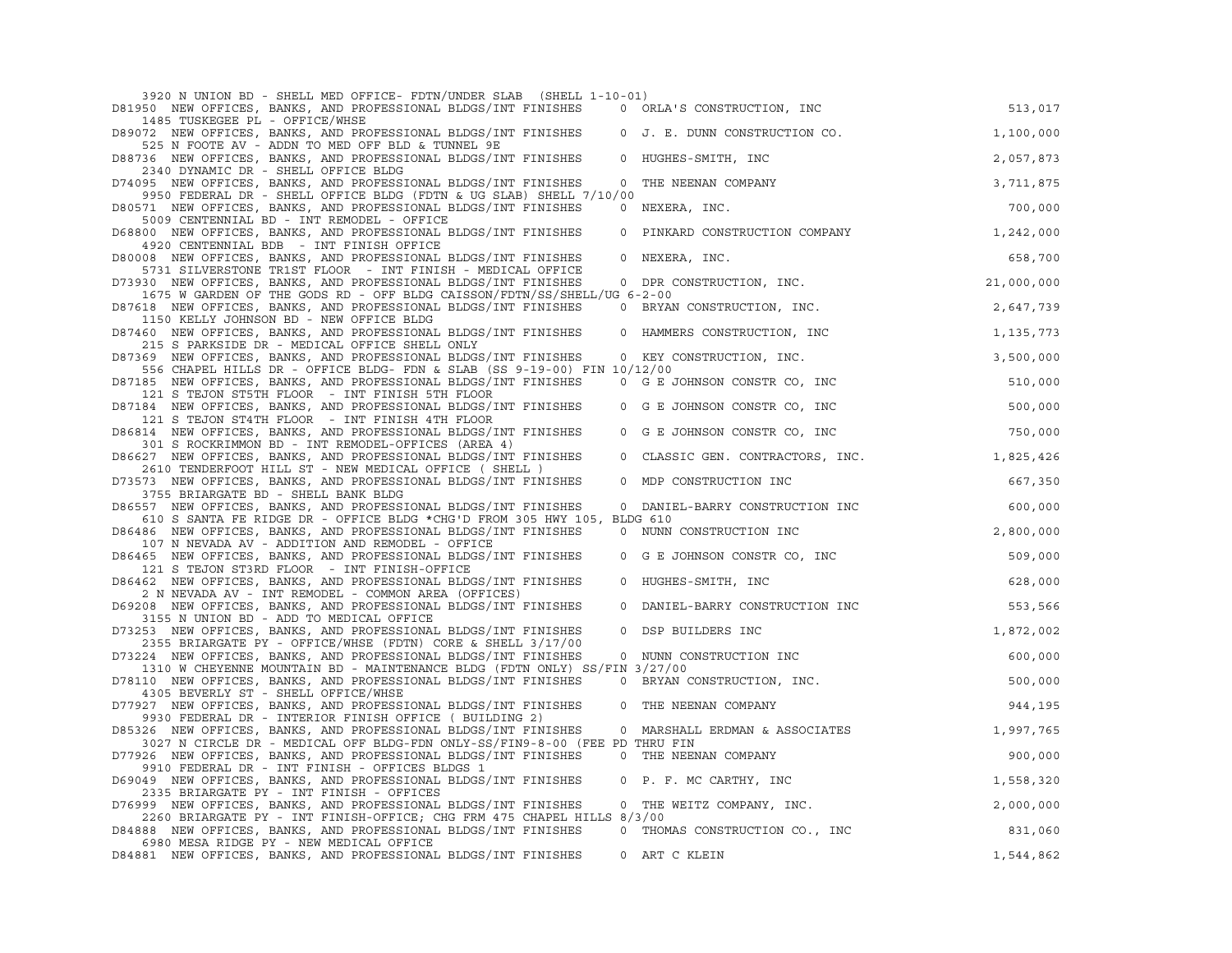| 3920 N UNION BD - SHELL MED OFFICE- FDTN/UNDER SLAB (SHELL 1-10-01)                                                                                                   |                                 |            |
|-----------------------------------------------------------------------------------------------------------------------------------------------------------------------|---------------------------------|------------|
| D81950 NEW OFFICES, BANKS, AND PROFESSIONAL BLDGS/INT FINISHES<br>1485 TUSKEGEE PL - OFFICE/WHSE                                                                      | 0 ORLA'S CONSTRUCTION, INC      | 513,017    |
| D89072 NEW OFFICES, BANKS, AND PROFESSIONAL BLDGS/INT FINISHES                                                                                                        | 0 J. E. DUNN CONSTRUCTION CO.   | 1,100,000  |
| 525 N FOOTE AV - ADDN TO MED OFF BLD & TUNNEL 9E<br>$\circ$<br>D88736 NEW OFFICES, BANKS, AND PROFESSIONAL BLDGS/INT FINISHES                                         | HUGHES-SMITH, INC               | 2,057,873  |
| 2340 DYNAMIC DR - SHELL OFFICE BLDG<br>D74095 NEW OFFICES, BANKS, AND PROFESSIONAL BLDGS/INT FINISHES<br>0                                                            | THE NEENAN COMPANY              | 3,711,875  |
| 9950 FEDERAL DR - SHELL OFFICE BLDG (FDTN & UG SLAB) SHELL 7/10/00<br>D80571 NEW OFFICES, BANKS, AND PROFESSIONAL BLDGS/INT FINISHES                                  | 0 NEXERA, INC.                  | 700,000    |
| 5009 CENTENNIAL BD - INT REMODEL - OFFICE<br>D68800 NEW OFFICES, BANKS, AND PROFESSIONAL BLDGS/INT FINISHES<br>$\mathbf 0$                                            | PINKARD CONSTRUCTION COMPANY    | 1,242,000  |
| 4920 CENTENNIAL BDB - INT FINISH OFFICE                                                                                                                               |                                 |            |
| D80008 NEW OFFICES, BANKS, AND PROFESSIONAL BLDGS/INT FINISHES<br>$\circ$<br>5731 SILVERSTONE TR1ST FLOOR - INT FINISH - MEDICAL OFFICE                               | NEXERA, INC.                    | 658,700    |
| D73930 NEW OFFICES, BANKS, AND PROFESSIONAL BLDGS/INT FINISHES<br>1675 W GARDEN OF THE GODS RD - OFF BLDG CAISSON/FDTN/SS/SHELL/UG 6-2-00                             | 0 DPR CONSTRUCTION, INC.        | 21,000,000 |
| D87618 NEW OFFICES, BANKS, AND PROFESSIONAL BLDGS/INT FINISHES                                                                                                        | 0 BRYAN CONSTRUCTION, INC.      | 2,647,739  |
| 1150 KELLY JOHNSON BD - NEW OFFICE BLDG<br>D87460 NEW OFFICES, BANKS, AND PROFESSIONAL BLDGS/INT FINISHES<br>$\circ$<br>215 S PARKSIDE DR - MEDICAL OFFICE SHELL ONLY | HAMMERS CONSTRUCTION, INC       | 1,135,773  |
| D87369 NEW OFFICES, BANKS, AND PROFESSIONAL BLDGS/INT FINISHES                                                                                                        | 0 KEY CONSTRUCTION, INC.        | 3,500,000  |
| 556 CHAPEL HILLS DR - OFFICE BLDG- FDN & SLAB (SS 9-19-00) FIN 10/12/00<br>D87185 NEW OFFICES, BANKS, AND PROFESSIONAL BLDGS/INT FINISHES                             | 0 G E JOHNSON CONSTR CO, INC    | 510,000    |
| 121 S TEJON ST5TH FLOOR - INT FINISH 5TH FLOOR<br>D87184 NEW OFFICES, BANKS, AND PROFESSIONAL BLDGS/INT FINISHES                                                      | 0 G E JOHNSON CONSTR CO, INC    | 500,000    |
| 121 S TEJON ST4TH FLOOR - INT FINISH 4TH FLOOR<br>D86814 NEW OFFICES, BANKS, AND PROFESSIONAL BLDGS/INT FINISHES                                                      |                                 | 750,000    |
| 301 S ROCKRIMMON BD - INT REMODEL-OFFICES (AREA 4)                                                                                                                    | 0 G E JOHNSON CONSTR CO, INC    |            |
| D86627 NEW OFFICES, BANKS, AND PROFESSIONAL BLDGS/INT FINISHES<br>$\circ$<br>2610 TENDERFOOT HILL ST - NEW MEDICAL OFFICE (SHELL)                                     | CLASSIC GEN. CONTRACTORS, INC.  | 1,825,426  |
| D73573 NEW OFFICES, BANKS, AND PROFESSIONAL BLDGS/INT FINISHES<br>$\circ$<br>3755 BRIARGATE BD - SHELL BANK BLDG                                                      | MDP CONSTRUCTION INC            | 667,350    |
| D86557 NEW OFFICES, BANKS, AND PROFESSIONAL BLDGS/INT FINISHES                                                                                                        | 0 DANIEL-BARRY CONSTRUCTION INC | 600,000    |
| 610 S SANTA FE RIDGE DR - OFFICE BLDG *CHG'D FROM 305 HWY 105, BLDG 610<br>D86486 NEW OFFICES, BANKS, AND PROFESSIONAL BLDGS/INT FINISHES                             | 0 NUNN CONSTRUCTION INC         | 2,800,000  |
| 107 N NEVADA AV - ADDITION AND REMODEL - OFFICE                                                                                                                       |                                 |            |
| D86465 NEW OFFICES, BANKS, AND PROFESSIONAL BLDGS/INT FINISHES<br>0<br>121 S TEJON ST3RD FLOOR - INT FINISH-OFFICE                                                    | G E JOHNSON CONSTR CO, INC      | 509,000    |
| D86462 NEW OFFICES, BANKS, AND PROFESSIONAL BLDGS/INT FINISHES<br>2 N NEVADA AV - INT REMODEL - COMMON AREA (OFFICES)                                                 | 0 HUGHES-SMITH, INC             | 628,000    |
| D69208 NEW OFFICES, BANKS, AND PROFESSIONAL BLDGS/INT FINISHES<br>$\circ$<br>3155 N UNION BD - ADD TO MEDICAL OFFICE                                                  | DANIEL-BARRY CONSTRUCTION INC   | 553,566    |
| D73253 NEW OFFICES, BANKS, AND PROFESSIONAL BLDGS/INT FINISHES<br>$\circ$                                                                                             | DSP BUILDERS INC                | 1,872,002  |
| 2355 BRIARGATE PY - OFFICE/WHSE (FDTN) CORE & SHELL 3/17/00<br>D73224 NEW OFFICES, BANKS, AND PROFESSIONAL BLDGS/INT FINISHES                                         | 0 NUNN CONSTRUCTION INC         | 600,000    |
| 1310 W CHEYENNE MOUNTAIN BD - MAINTENANCE BLDG (FDTN ONLY) SS/FIN 3/27/00<br>D78110 NEW OFFICES, BANKS, AND PROFESSIONAL BLDGS/INT FINISHES                           | 0 BRYAN CONSTRUCTION, INC.      | 500,000    |
| 4305 BEVERLY ST - SHELL OFFICE/WHSE<br>D77927 NEW OFFICES, BANKS, AND PROFESSIONAL BLDGS/INT FINISHES<br>$\Omega$                                                     | THE NEENAN COMPANY              | 944,195    |
| 9930 FEDERAL DR - INTERIOR FINISH OFFICE (BUILDING 2)                                                                                                                 |                                 |            |
| D85326 NEW OFFICES, BANKS, AND PROFESSIONAL BLDGS/INT FINISHES<br>0<br>3027 N CIRCLE DR - MEDICAL OFF BLDG-FDN ONLY-SS/FIN9-8-00 (FEE PD THRU FIN                     | MARSHALL ERDMAN & ASSOCIATES    | 1,997,765  |
| D77926 NEW OFFICES, BANKS, AND PROFESSIONAL BLDGS/INT FINISHES<br>9910 FEDERAL DR - INT FINISH - OFFICES BLDGS 1                                                      | 0 THE NEENAN COMPANY            | 900,000    |
| D69049 NEW OFFICES, BANKS, AND PROFESSIONAL BLDGS/INT FINISHES<br>$\circ$<br>2335 BRIARGATE PY - INT FINISH - OFFICES                                                 | P. F. MC CARTHY, INC            | 1,558,320  |
| D76999 NEW OFFICES, BANKS, AND PROFESSIONAL BLDGS/INT FINISHES                                                                                                        | 0 THE WEITZ COMPANY, INC.       | 2,000,000  |
| 2260 BRIARGATE PY - INT FINISH-OFFICE; CHG FRM 475 CHAPEL HILLS 8/3/00<br>D84888 NEW OFFICES, BANKS, AND PROFESSIONAL BLDGS/INT FINISHES                              | 0 THOMAS CONSTRUCTION CO., INC  | 831,060    |
| 6980 MESA RIDGE PY - NEW MEDICAL OFFICE<br>D84881 NEW OFFICES, BANKS, AND PROFESSIONAL BLDGS/INT FINISHES                                                             | 0 ART C KLEIN                   | 1,544,862  |
|                                                                                                                                                                       |                                 |            |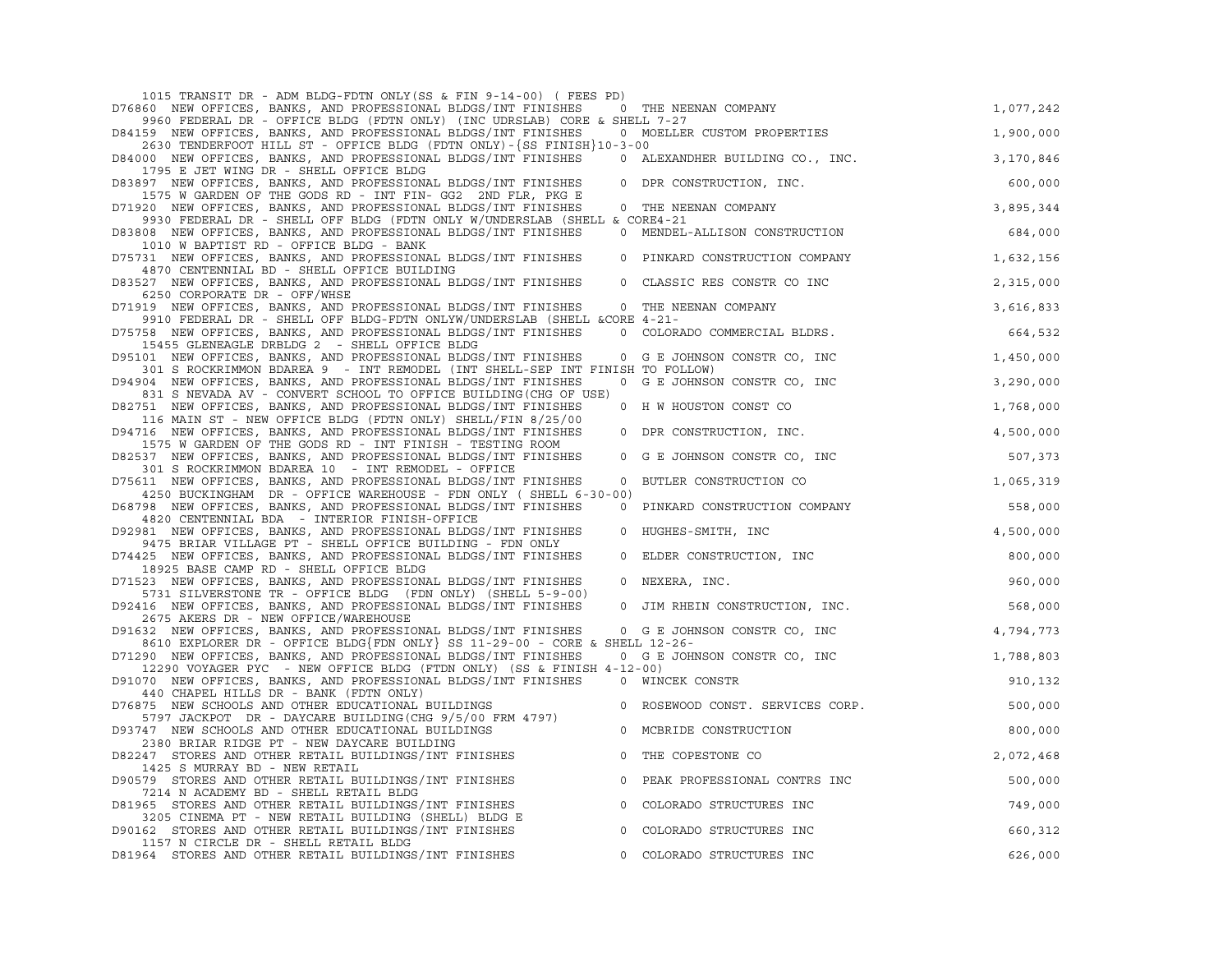| 1015 TRANSIT DR - ADM BLDG-FDTN ONLY (SS & FIN 9-14-00) ( FEES PD)                                                                          |                                  |           |
|---------------------------------------------------------------------------------------------------------------------------------------------|----------------------------------|-----------|
| D76860 NEW OFFICES, BANKS, AND PROFESSIONAL BLDGS/INT FINISHES                                                                              | 0 THE NEENAN COMPANY             | 1,077,242 |
| 9960 FEDERAL DR - OFFICE BLDG (FDTN ONLY) (INC UDRSLAB) CORE & SHELL 7-27<br>D84159 NEW OFFICES, BANKS, AND PROFESSIONAL BLDGS/INT FINISHES | 0 MOELLER CUSTOM PROPERTIES      | 1,900,000 |
| 2630 TENDERFOOT HILL ST - OFFICE BLDG (FDTN ONLY) - {SS FINISH } 10-3-00                                                                    |                                  |           |
| D84000 NEW OFFICES, BANKS, AND PROFESSIONAL BLDGS/INT FINISHES<br>1795 E JET WING DR - SHELL OFFICE BLDG                                    | 0 ALEXANDHER BUILDING CO., INC.  | 3,170,846 |
| D83897 NEW OFFICES, BANKS, AND PROFESSIONAL BLDGS/INT FINISHES<br>$\Omega$                                                                  | DPR CONSTRUCTION, INC.           | 600,000   |
| 1575 W GARDEN OF THE GODS RD - INT FIN- GG2 2ND FLR, PKG E                                                                                  |                                  |           |
| D71920 NEW OFFICES, BANKS, AND PROFESSIONAL BLDGS/INT FINISHES<br>9930 FEDERAL DR - SHELL OFF BLDG (FDTN ONLY W/UNDERSLAB (SHELL & CORE4-21 | 0 THE NEENAN COMPANY             | 3,895,344 |
| D83808 NEW OFFICES, BANKS, AND PROFESSIONAL BLDGS/INT FINISHES<br>1010 W BAPTIST RD - OFFICE BLDG - BANK                                    | 0 MENDEL-ALLISON CONSTRUCTION    | 684,000   |
| D75731 NEW OFFICES, BANKS, AND PROFESSIONAL BLDGS/INT FINISHES                                                                              | 0 PINKARD CONSTRUCTION COMPANY   | 1,632,156 |
| 4870 CENTENNIAL BD - SHELL OFFICE BUILDING<br>D83527 NEW OFFICES, BANKS, AND PROFESSIONAL BLDGS/INT FINISHES<br>$\circ$                     | CLASSIC RES CONSTR CO INC        | 2,315,000 |
| 6250 CORPORATE DR - OFF/WHSE                                                                                                                |                                  |           |
| D71919 NEW OFFICES, BANKS, AND PROFESSIONAL BLDGS/INT FINISHES<br>9910 FEDERAL DR - SHELL OFF BLDG-FDTN ONLYW/UNDERSLAB (SHELL &CORE 4-21-  | 0 THE NEENAN COMPANY             | 3,616,833 |
| D75758 NEW OFFICES, BANKS, AND PROFESSIONAL BLDGS/INT FINISHES<br>15455 GLENEAGLE DRBLDG 2 - SHELL OFFICE BLDG                              | 0 COLORADO COMMERCIAL BLDRS.     | 664,532   |
| D95101 NEW OFFICES, BANKS, AND PROFESSIONAL BLDGS/INT FINISHES                                                                              | 0 G E JOHNSON CONSTR CO, INC     | 1,450,000 |
| 301 S ROCKRIMMON BDAREA 9 - INT REMODEL (INT SHELL-SEP INT FINISH TO FOLLOW)                                                                |                                  |           |
| D94904 NEW OFFICES, BANKS, AND PROFESSIONAL BLDGS/INT FINISHES<br>831 S NEVADA AV - CONVERT SCHOOL TO OFFICE BUILDING (CHG OF USE)          | 0 G E JOHNSON CONSTR CO, INC     | 3,290,000 |
| D82751 NEW OFFICES, BANKS, AND PROFESSIONAL BLDGS/INT FINISHES<br>116 MAIN ST - NEW OFFICE BLDG (FDTN ONLY) SHELL/FIN 8/25/00               | 0 H W HOUSTON CONST CO           | 1,768,000 |
| D94716 NEW OFFICES, BANKS, AND PROFESSIONAL BLDGS/INT FINISHES<br>$\circ$                                                                   | DPR CONSTRUCTION, INC.           | 4,500,000 |
| 1575 W GARDEN OF THE GODS RD - INT FINISH - TESTING ROOM<br>D82537 NEW OFFICES, BANKS, AND PROFESSIONAL BLDGS/INT FINISHES<br>$\mathbf 0$   | G E JOHNSON CONSTR CO, INC       | 507,373   |
| 301 S ROCKRIMMON BDAREA 10 - INT REMODEL - OFFICE                                                                                           |                                  |           |
| D75611 NEW OFFICES, BANKS, AND PROFESSIONAL BLDGS/INT FINISHES<br>4250 BUCKINGHAM DR - OFFICE WAREHOUSE - FDN ONLY (SHELL 6-30-00)          | 0 BUTLER CONSTRUCTION CO         | 1,065,319 |
| D68798 NEW OFFICES, BANKS, AND PROFESSIONAL BLDGS/INT FINISHES                                                                              | 0 PINKARD CONSTRUCTION COMPANY   | 558,000   |
| 4820 CENTENNIAL BDA - INTERIOR FINISH-OFFICE                                                                                                |                                  |           |
| D92981 NEW OFFICES, BANKS, AND PROFESSIONAL BLDGS/INT FINISHES<br>$\circ$<br>9475 BRIAR VILLAGE PT - SHELL OFFICE BUILDING - FDN ONLY       | HUGHES-SMITH, INC                | 4,500,000 |
| D74425 NEW OFFICES, BANKS, AND PROFESSIONAL BLDGS/INT FINISHES<br>$\circ$<br>18925 BASE CAMP RD - SHELL OFFICE BLDG                         | ELDER CONSTRUCTION, INC          | 800,000   |
| D71523 NEW OFFICES, BANKS, AND PROFESSIONAL BLDGS/INT FINISHES<br>$\circ$                                                                   | NEXERA, INC.                     | 960,000   |
| 5731 SILVERSTONE TR - OFFICE BLDG (FDN ONLY) (SHELL 5-9-00)<br>D92416 NEW OFFICES, BANKS, AND PROFESSIONAL BLDGS/INT FINISHES<br>$\circ$    | JIM RHEIN CONSTRUCTION, INC.     | 568,000   |
| 2675 AKERS DR - NEW OFFICE/WAREHOUSE<br>D91632 NEW OFFICES, BANKS, AND PROFESSIONAL BLDGS/INT FINISHES                                      |                                  | 4,794,773 |
| 8610 EXPLORER DR - OFFICE BLDG{FDN ONLY} SS 11-29-00 - CORE & SHELL 12-26-                                                                  | 0 G E JOHNSON CONSTR CO, INC     |           |
| D71290 NEW OFFICES, BANKS, AND PROFESSIONAL BLDGS/INT FINISHES<br>12290 VOYAGER PYC - NEW OFFICE BLDG (FTDN ONLY) (SS & FINISH 4-12-00)     | 0 G E JOHNSON CONSTR CO, INC     | 1,788,803 |
| D91070 NEW OFFICES, BANKS, AND PROFESSIONAL BLDGS/INT FINISHES 0 WINCEK CONSTR<br>440 CHAPEL HILLS DR - BANK (FDTN ONLY)                    |                                  | 910,132   |
| D76875 NEW SCHOOLS AND OTHER EDUCATIONAL BUILDINGS                                                                                          | 0 ROSEWOOD CONST. SERVICES CORP. | 500,000   |
| 5797 JACKPOT DR - DAYCARE BUILDING (CHG 9/5/00 FRM 4797)<br>D93747 NEW SCHOOLS AND OTHER EDUCATIONAL BUILDINGS                              | 0 MCBRIDE CONSTRUCTION           | 800,000   |
| 2380 BRIAR RIDGE PT - NEW DAYCARE BUILDING                                                                                                  |                                  |           |
| D82247 STORES AND OTHER RETAIL BUILDINGS/INT FINISHES<br>$\overline{0}$<br>1425 S MURRAY BD - NEW RETAIL                                    | THE COPESTONE CO                 | 2,072,468 |
| D90579 STORES AND OTHER RETAIL BUILDINGS/INT FINISHES<br>$\circ$                                                                            | PEAK PROFESSIONAL CONTRS INC     | 500,000   |
| 7214 N ACADEMY BD - SHELL RETAIL BLDG                                                                                                       |                                  |           |
| D81965 STORES AND OTHER RETAIL BUILDINGS/INT FINISHES<br>$\circ$<br>3205 CINEMA PT - NEW RETAIL BUILDING (SHELL) BLDG E                     | COLORADO STRUCTURES INC          | 749,000   |
| D90162 STORES AND OTHER RETAIL BUILDINGS/INT FINISHES<br>$\circ$<br>1157 N CIRCLE DR - SHELL RETAIL BLDG                                    | COLORADO STRUCTURES INC          | 660,312   |
| D81964 STORES AND OTHER RETAIL BUILDINGS/INT FINISHES<br>$\Omega$                                                                           | COLORADO STRUCTURES INC          | 626,000   |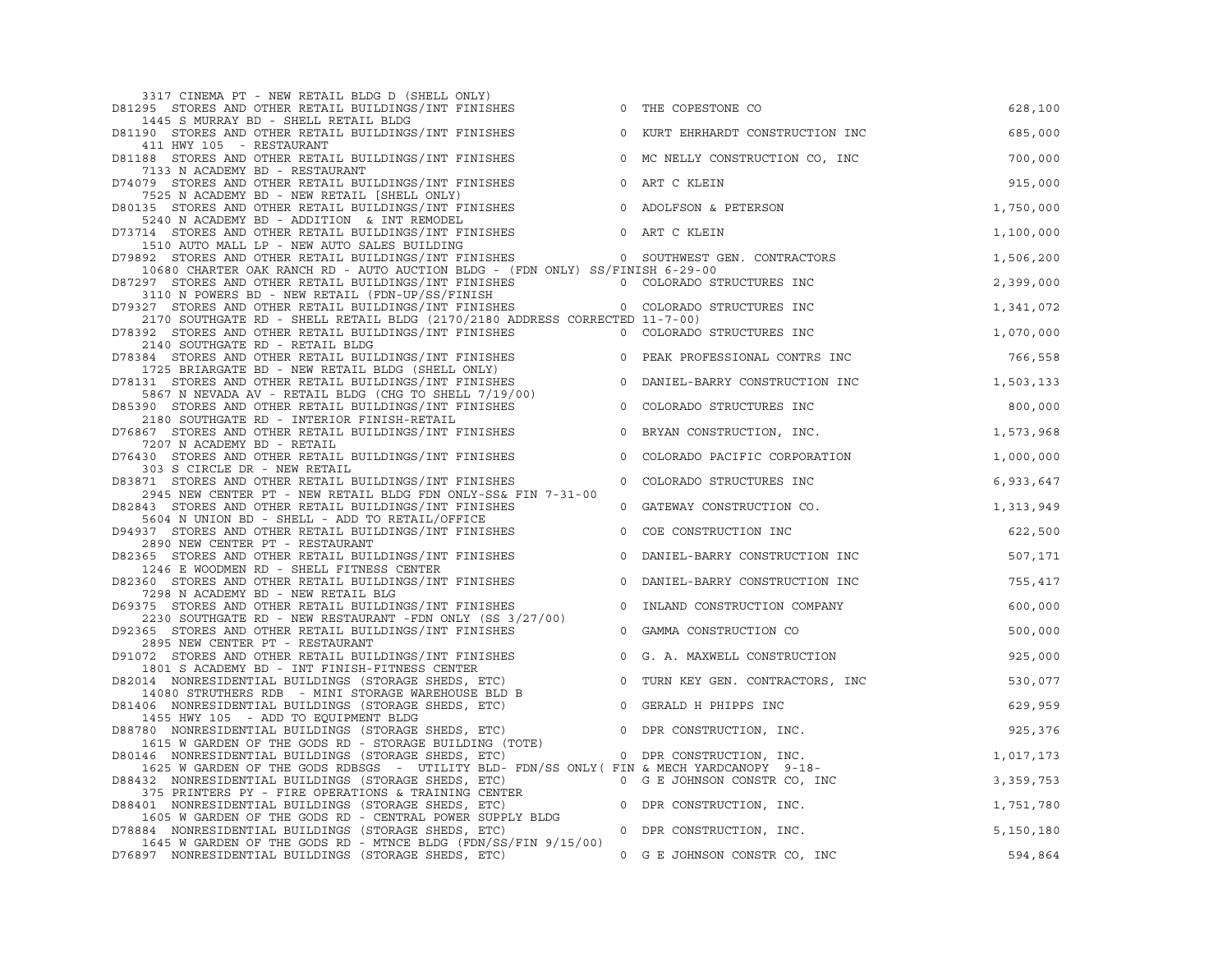| 3317 CINEMA PT - NEW RETAIL BLDG D (SHELL ONLY)                                                                                                                                                                                                                          |                |                                  |             |
|--------------------------------------------------------------------------------------------------------------------------------------------------------------------------------------------------------------------------------------------------------------------------|----------------|----------------------------------|-------------|
| D81295 STORES AND OTHER RETAIL BUILDINGS/INT FINISHES                                                                                                                                                                                                                    | $\circ$        | THE COPESTONE CO                 | 628,100     |
| 1445 S MURRAY BD - SHELL RETAIL BLDG<br>D81190 STORES AND OTHER RETAIL BUILDINGS/INT FINISHES                                                                                                                                                                            |                | 0 KURT EHRHARDT CONSTRUCTION INC | 685,000     |
| 411 HWY 105 - RESTAURANT<br>D81188 STORES AND OTHER RETAIL BUILDINGS/INT FINISHES                                                                                                                                                                                        |                | 0 MC NELLY CONSTRUCTION CO, INC  | 700,000     |
| 7133 N ACADEMY BD - RESTAURANT<br>D74079 STORES AND OTHER RETAIL BUILDINGS/INT FINISHES                                                                                                                                                                                  | $\mathbb O$    | ART C KLEIN                      | 915,000     |
| 7525 N ACADEMY BD - NEW RETAIL [SHELL ONLY)                                                                                                                                                                                                                              |                |                                  |             |
| D80135 STORES AND OTHER RETAIL BUILDINGS/INT FINISHES<br>5240 N ACADEMY BD - ADDITION & INT REMODEL                                                                                                                                                                      |                | 0 ADOLFSON & PETERSON            | 1,750,000   |
| D73714 STORES AND OTHER RETAIL BUILDINGS/INT FINISHES<br>1510 AUTO MALL LP - NEW AUTO SALES BUILDING                                                                                                                                                                     |                | 0 ART C KLEIN                    | 1,100,000   |
| D79892 STORES AND OTHER RETAIL BUILDINGS/INT FINISHES 0 SOUTHWEST GEN. CONTRACTORS                                                                                                                                                                                       |                |                                  | 1,506,200   |
| 10680 CHARTER OAK RANCH RD - AUTO AUCTION BLDG - (FDN ONLY) SS/FINISH 6-29-00<br>D87297 STORES AND OTHER RETAIL BUILDINGS/INT FINISHES                                                                                                                                   |                | 0 COLORADO STRUCTURES INC        | 2,399,000   |
| 3110 N POWERS BD - NEW RETAIL (FDN-UP/SS/FINISH<br>3110 N POWERS BD - NEW RETAIL (FDN-UP/SS/FINISHES MASS PRODUSS 100 COLORADO STRUCTURES INC<br>D79327 STORES AND OTHER RETAIL BUILDINGS/INT FINISHES MASS AND STRUCTURES INC                                           |                |                                  |             |
|                                                                                                                                                                                                                                                                          |                |                                  | 1,341,072   |
| 2170 SOUTHGATE RD - SHELL RETAIL BLDG (2170/2180 ADDRESS CORRECTED 11-7-00)                                                                                                                                                                                              |                |                                  |             |
| D78392 STORES AND OTHER RETAIL BUILDINGS/INT FINISHES<br>2140 SOUTHGATE RD - RETAIL BLDG                                                                                                                                                                                 |                | 0 COLORADO STRUCTURES INC        | 1,070,000   |
| D78384 STORES AND OTHER RETAIL BUILDINGS/INT FINISHES                                                                                                                                                                                                                    |                | 0 PEAK PROFESSIONAL CONTRS INC   | 766,558     |
| 1725 BRIARGATE BD - NEW RETAIL BLDG (SHELL ONLY)                                                                                                                                                                                                                         |                |                                  |             |
| D78131 STORES AND OTHER RETAIL BUILDINGS/INT FINISHES                                                                                                                                                                                                                    |                | 0 DANIEL-BARRY CONSTRUCTION INC  | 1,503,133   |
| 5867 N NEVADA AV - RETAIL BLDG (CHG TO SHELL 7/19/00)                                                                                                                                                                                                                    |                |                                  |             |
| D85390 STORES AND OTHER RETAIL BUILDINGS/INT FINISHES<br>2180 SOUTHGATE RD - INTERIOR FINISH-RETAIL                                                                                                                                                                      | $\circ$        | COLORADO STRUCTURES INC          | 800,000     |
| D76867 STORES AND OTHER RETAIL BUILDINGS/INT FINISHES                                                                                                                                                                                                                    | $\circ$        | BRYAN CONSTRUCTION, INC.         | 1,573,968   |
| 7207 N ACADEMY BD - RETAIL                                                                                                                                                                                                                                               |                |                                  |             |
| D76430 STORES AND OTHER RETAIL BUILDINGS/INT FINISHES<br>303 S CIRCLE DR - NEW RETAIL                                                                                                                                                                                    | $\mathbb O$    | COLORADO PACIFIC CORPORATION     | 1,000,000   |
| D83871 STORES AND OTHER RETAIL BUILDINGS/INT FINISHES                                                                                                                                                                                                                    | $\overline{0}$ | COLORADO STRUCTURES INC          | 6,933,647   |
| 2945 NEW CENTER PT - NEW RETAIL BLDG FDN ONLY-SS& FIN 7-31-00                                                                                                                                                                                                            |                |                                  |             |
| D82843 STORES AND OTHER RETAIL BUILDINGS/INT FINISHES                                                                                                                                                                                                                    |                | 0 GATEWAY CONSTRUCTION CO.       | 1,313,949   |
| 5604 N UNION BD - SHELL - ADD TO RETAIL/OFFICE<br>D94937 STORES AND OTHER RETAIL BUILDINGS/INT FINISHES                                                                                                                                                                  | $\overline{0}$ | COE CONSTRUCTION INC             | 622,500     |
| 2890 NEW CENTER PT - RESTAURANT                                                                                                                                                                                                                                          |                |                                  |             |
| D82365 STORES AND OTHER RETAIL BUILDINGS/INT FINISHES                                                                                                                                                                                                                    | $\circ$        | DANIEL-BARRY CONSTRUCTION INC    | 507,171     |
| 1246 E WOODMEN RD - SHELL FITNESS CENTER                                                                                                                                                                                                                                 |                |                                  |             |
| D82360 STORES AND OTHER RETAIL BUILDINGS/INT FINISHES<br>7298 N ACADEMY BD - NEW RETAIL BLG                                                                                                                                                                              | $\circ$        | DANIEL-BARRY CONSTRUCTION INC    | 755,417     |
| 7298 N ACADEMY BD - NEW RETAIL BLG<br>175 STORES AND OTHER RETAIL BUILDINGS/INT FINISHES<br>2230 SOUTHGATE RD - NEW RESTAURANT -FDN ONLY (SS 3/27/00)<br>255 STORES AND OTHER RETAIL BUILDINGS/INT FINISHES<br>D69375 STORES AND OTHER RETAIL BUILDINGS/INT FINISHES     |                | 0 INLAND CONSTRUCTION COMPANY    | 600,000     |
| D92365 STORES AND OTHER RETAIL BUILDINGS/INT FINISHES                                                                                                                                                                                                                    |                | 0 GAMMA CONSTRUCTION CO          | 500,000     |
| 2895 NEW CENTER PT - RESTAURANT                                                                                                                                                                                                                                          |                |                                  |             |
| D91072 STORES AND OTHER RETAIL BUILDINGS/INT FINISHES<br>1801 S ACADEMY BD - INT FINISH-FITNESS CENTER                                                                                                                                                                   |                | 0 G. A. MAXWELL CONSTRUCTION     | 925,000     |
| D82014 NONRESIDENTIAL BUILDINGS (STORAGE SHEDS, ETC)                                                                                                                                                                                                                     |                | 0 TURN KEY GEN. CONTRACTORS, INC | 530,077     |
| 14080 STRUTHERS RDB - MINI STORAGE WAREHOUSE BLD B<br>14080 STRUTHERS RDB - MINI STORAGE WAREHOUSE BLD B<br>D81406 NONRESIDENTIAL BUILDINGS (STORAGE SHEDS, ETC) 0 GERALD H PHIPPS INC                                                                                   |                |                                  | 629,959     |
| 1455 HWY 105 - ADD TO EQUIPMENT BLDG                                                                                                                                                                                                                                     |                |                                  |             |
| THIS INN TO THE TO BE THE SUBDANCE SHEDS, ETC)<br>1615 WORRESIDENTIAL BUILDINGS (STORAGE SHEDS, ETC) O DPR CONSTRUCTION, INC.<br>1615 WORRESIDENTIAL BUILDINGS (STORAGE BUILDING (TOTE) O DPR CONSTRUCTION, INC.<br>D88780 NONRESIDENTIAL BUILDINGS (STORAGE SHEDS, ETC) |                |                                  | 925,376     |
| D80146 NONRESIDENTIAL BUILDINGS (STORAGE SHEDS, ETC)                                                                                                                                                                                                                     |                |                                  | 1,017,173   |
| 1625 W GARDEN OF THE GODS RDBSGS - UTILITY BLD- FDN/SS ONLY (FIN & MECH YARDCANOPY 9-18-                                                                                                                                                                                 |                |                                  |             |
| D88432 NONRESIDENTIAL BUILDINGS (STORAGE SHEDS, ETC) 0 G E JOHNSON CONSTR CO, INC                                                                                                                                                                                        |                | NC<br><sub>NC</sub>              | 3, 359, 753 |
| 375 PRINTERS PY - FIRE OPERATIONS & TRAINING CENTER<br>D88401 NONRESIDENTIAL BUILDINGS (STORAGE SHEDS, ETC)                                                                                                                                                              |                | 0 DPR CONSTRUCTION, INC.         | 1,751,780   |
| 1605 W GARDEN OF THE GODS RD - CENTRAL POWER SUPPLY BLDG                                                                                                                                                                                                                 |                |                                  |             |
| D78884 NONRESIDENTIAL BUILDINGS (STORAGE SHEDS, ETC)                                                                                                                                                                                                                     |                | 0 DPR CONSTRUCTION, INC.         | 5,150,180   |
| 1645 W GARDEN OF THE GODS RD - MTNCE BLDG (FDN/SS/FIN 9/15/00)                                                                                                                                                                                                           |                |                                  |             |
| D76897 NONRESIDENTIAL BUILDINGS (STORAGE SHEDS, ETC)                                                                                                                                                                                                                     |                | 0 G E JOHNSON CONSTR CO, INC     | 594,864     |